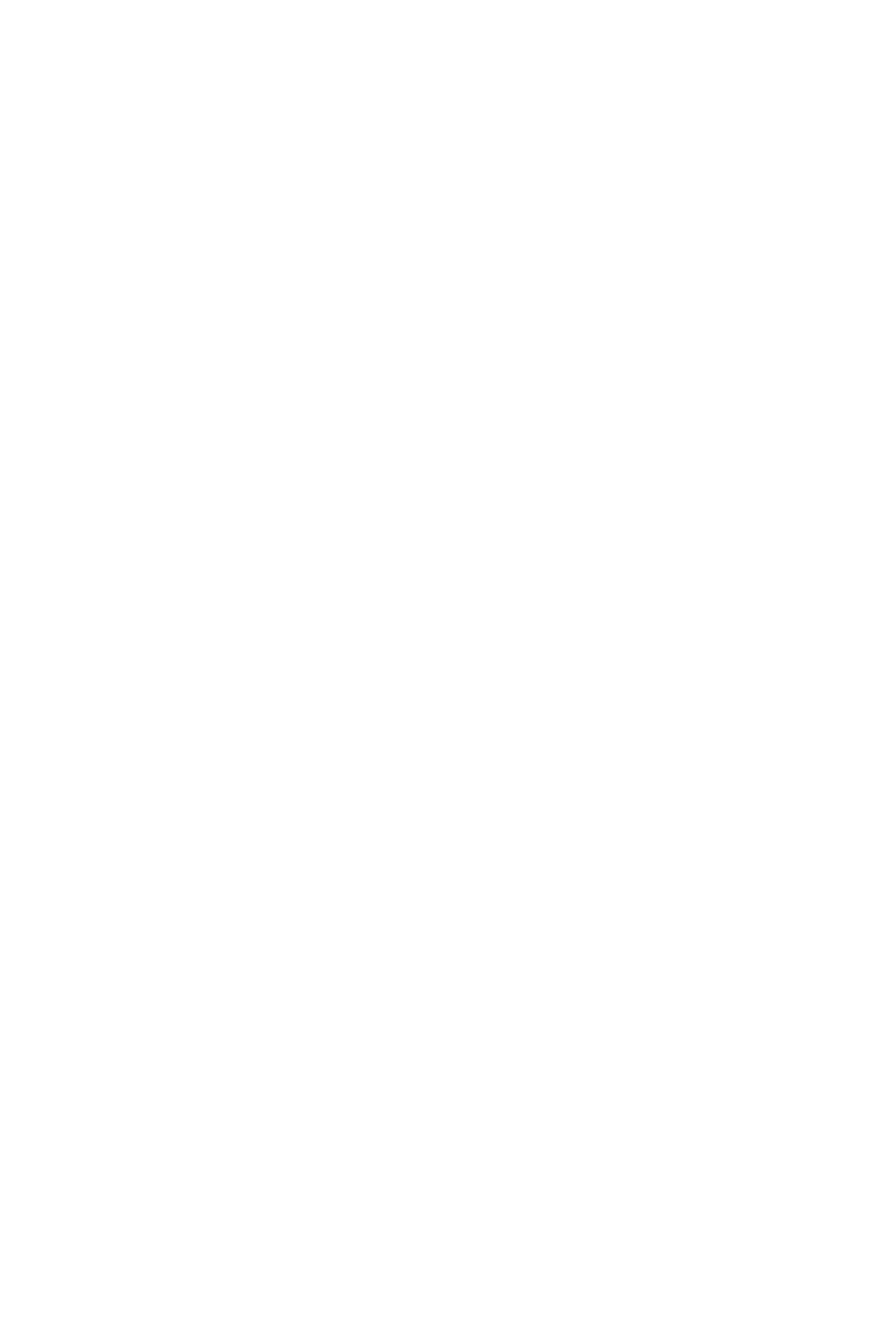# **Abiding by the Vote: Between-Groups Conflict in International Collective Action**

Christina J. Schneider and Branislav L. Slantchev

**Abstract** We analyze institutional solutions to international cooperation when actors have heterogeneous preferences over the desirability of the action and split into supporters and opponents, all of whom can spend resources toward their preferred outcome. We study how actors can communicate their preferences through voting when they are not bound either by their own vote or the outcome of the collective vote. We identify two organizational types with endogenous coercive enforcement and find that neither is unambiguously preferable. Like the solutions to the traditional Prisoners' Dilemma these forms require long shadows of the future to sustain. We then show that cooperation can be sustained through a noncoercive organization where actors delegate execution to an agent. Even though this institution is costlier, it does not require any expertise by the agent and is independent of the shadow of the future, and thus is implementable when the others are not.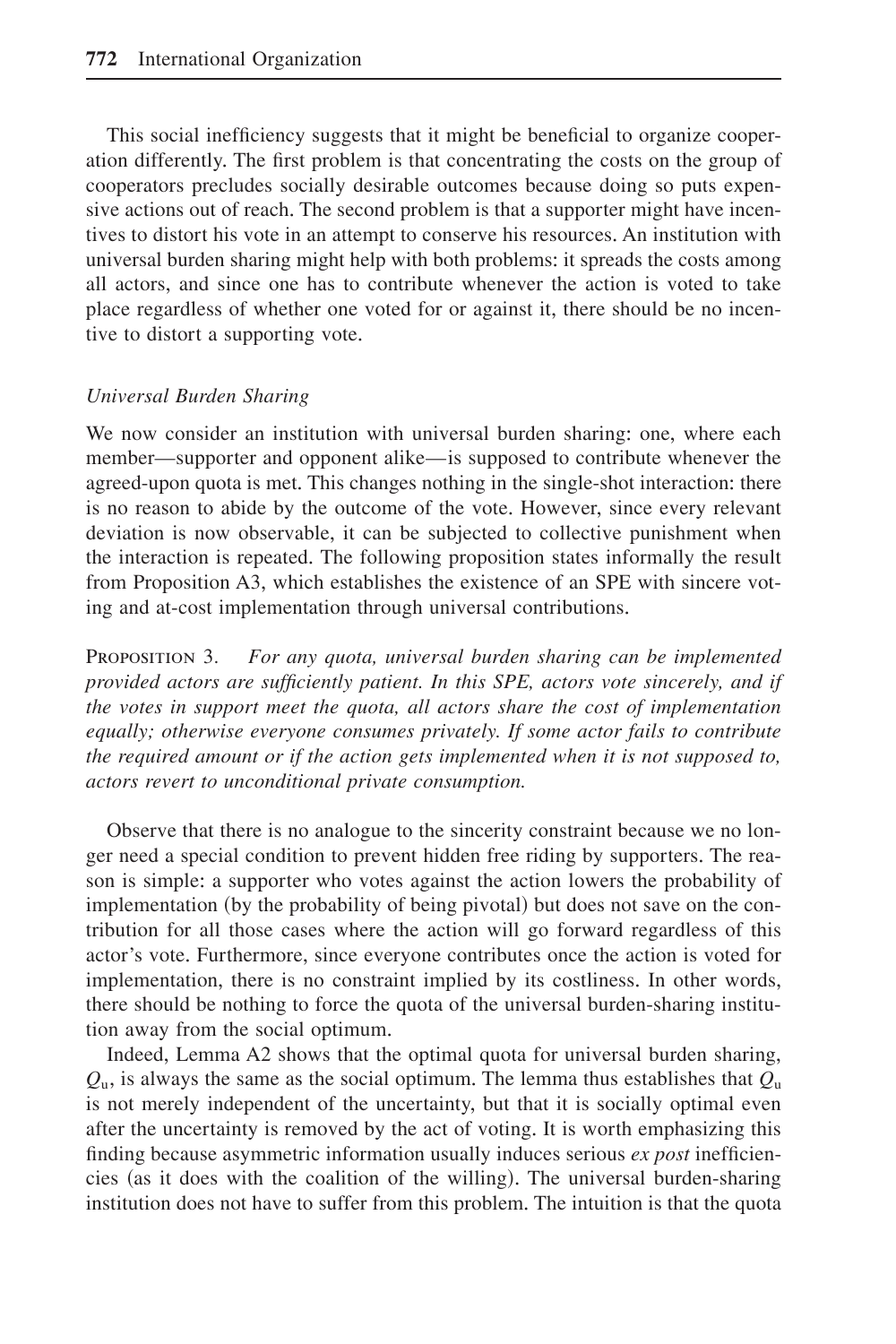This social inefficiency suggests that it might be beneficial to organize cooperation differently. The first problem is that concentrating the costs on the group of cooperators precludes socially desirable outcomes because doing so puts expensive actions out of reach. The second problem is that a supporter might have incentives to distort his vote in an attempt to conserve his resources. An institution with universal burden sharing might help with both problems: it spreads the costs among all actors, and since one has to contribute whenever the action is voted to take place regardless of whether one voted for or against it, there should be no incentive to distort a supporting vote.

### *Universal Burden Sharing*

We now consider an institution with universal burden sharing: one, where each member—supporter and opponent alike—is supposed to contribute whenever the agreed-upon quota is met. This changes nothing in the single-shot interaction: there is no reason to abide by the outcome of the vote. However, since every relevant deviation is now observable, it can be subjected to collective punishment when the interaction is repeated. The following proposition states informally the result from Proposition A3, which establishes the existence of an SPE with sincere voting and at-cost implementation through universal contributions.

Proposition 3. *For any quota, universal burden sharing can be implemented provided actors are sufficiently patient. In this SPE, actors vote sincerely, and if the votes in support meet the quota, all actors share the cost of implementation equally; otherwise everyone consumes privately. If some actor fails to contribute the required amount or if the action gets implemented when it is not supposed to, actors revert to unconditional private consumption.*

Observe that there is no analogue to the sincerity constraint because we no longer need a special condition to prevent hidden free riding by supporters. The reason is simple: a supporter who votes against the action lowers the probability of implementation (by the probability of being pivotal) but does not save on the contribution for all those cases where the action will go forward regardless of this actor's vote. Furthermore, since everyone contributes once the action is voted for implementation, there is no constraint implied by its costliness. In other words, there should be nothing to force the quota of the universal burden-sharing institution away from the social optimum.

Indeed, Lemma A2 shows that the optimal quota for universal burden sharing,  $Q_{\text{u}}$ , is always the same as the social optimum. The lemma thus establishes that  $Q_{\text{u}}$ is not merely independent of the uncertainty, but that it is socially optimal even after the uncertainty is removed by the act of voting. It is worth emphasizing this finding because asymmetric information usually induces serious *ex post* inefficiencies (as it does with the coalition of the willing). The universal burden-sharing institution does not have to suffer from this problem. The intuition is that the quota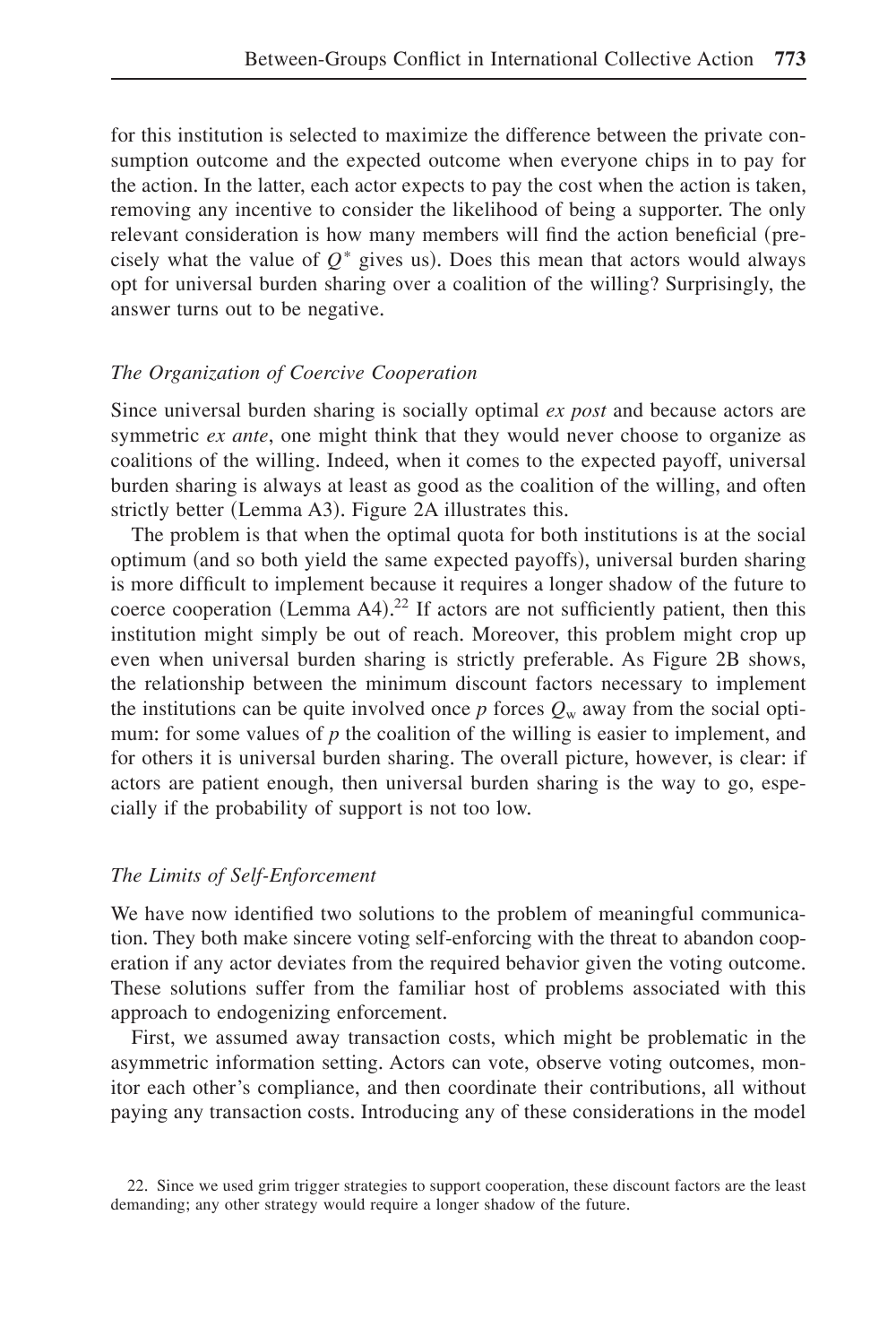for this institution is selected to maximize the difference between the private consumption outcome and the expected outcome when everyone chips in to pay for the action. In the latter, each actor expects to pay the cost when the action is taken, removing any incentive to consider the likelihood of being a supporter. The only relevant consideration is how many members will find the action beneficial (precisely what the value of  $Q^*$  gives us). Does this mean that actors would always opt for universal burden sharing over a coalition of the willing? Surprisingly, the answer turns out to be negative.

### *The Organization of Coercive Cooperation*

Since universal burden sharing is socially optimal *ex post* and because actors are symmetric *ex ante*, one might think that they would never choose to organize as coalitions of the willing. Indeed, when it comes to the expected payoff, universal burden sharing is always at least as good as the coalition of the willing, and often strictly better (Lemma A3). Figure 2A illustrates this.

The problem is that when the optimal quota for both institutions is at the social optimum (and so both yield the same expected payoffs), universal burden sharing is more difficult to implement because it requires a longer shadow of the future to coerce cooperation (Lemma A4).<sup>22</sup> If actors are not sufficiently patient, then this institution might simply be out of reach. Moreover, this problem might crop up even when universal burden sharing is strictly preferable. As Figure 2B shows, the relationship between the minimum discount factors necessary to implement the institutions can be quite involved once  $p$  forces  $Q_w$  away from the social optimum: for some values of p the coalition of the willing is easier to implement, and for others it is universal burden sharing. The overall picture, however, is clear: if actors are patient enough, then universal burden sharing is the way to go, especially if the probability of support is not too low.

#### *The Limits of Self-Enforcement*

We have now identified two solutions to the problem of meaningful communication. They both make sincere voting self-enforcing with the threat to abandon cooperation if any actor deviates from the required behavior given the voting outcome. These solutions suffer from the familiar host of problems associated with this approach to endogenizing enforcement.

First, we assumed away transaction costs, which might be problematic in the asymmetric information setting. Actors can vote, observe voting outcomes, monitor each other's compliance, and then coordinate their contributions, all without paying any transaction costs. Introducing any of these considerations in the model

<sup>22.</sup> Since we used grim trigger strategies to support cooperation, these discount factors are the least demanding; any other strategy would require a longer shadow of the future.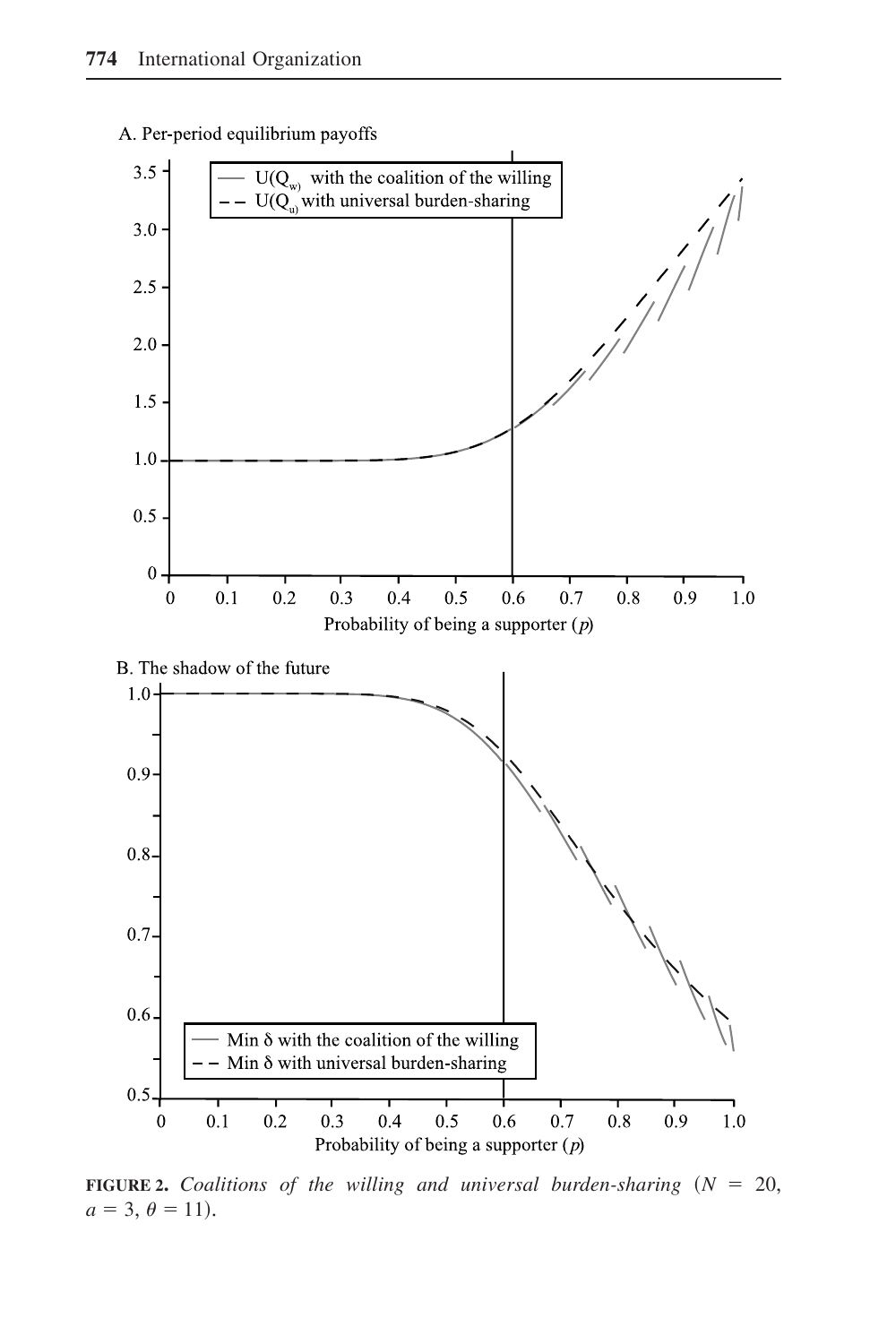

A. Per-period equilibrium payoffs

**FIGURE 2.** Coalitions of the willing and universal burden-sharing  $(N = 20,$  $a = 3, \theta = 11$ .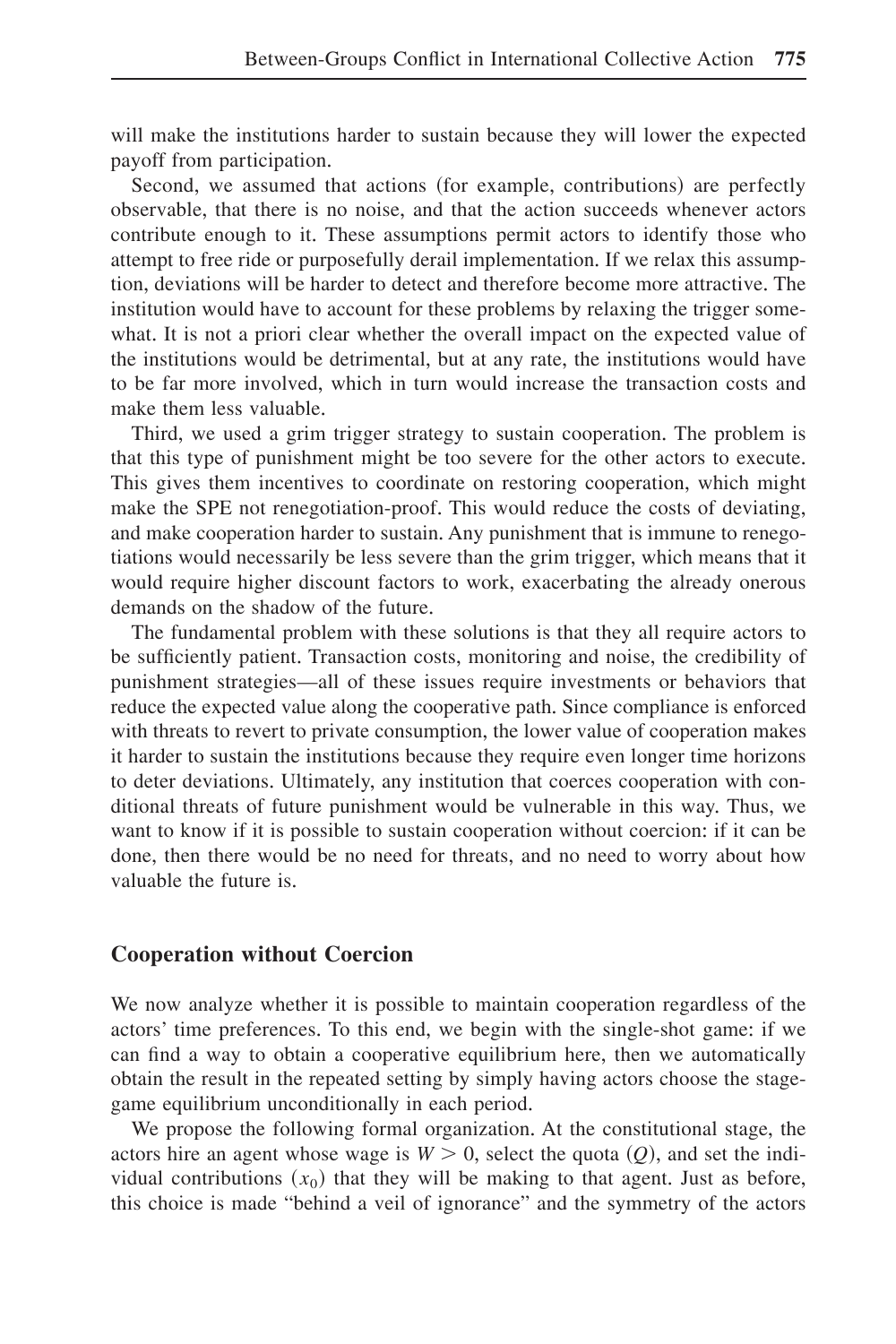will make the institutions harder to sustain because they will lower the expected payoff from participation.

Second, we assumed that actions (for example, contributions) are perfectly observable, that there is no noise, and that the action succeeds whenever actors contribute enough to it. These assumptions permit actors to identify those who attempt to free ride or purposefully derail implementation. If we relax this assumption, deviations will be harder to detect and therefore become more attractive+ The institution would have to account for these problems by relaxing the trigger somewhat. It is not a priori clear whether the overall impact on the expected value of the institutions would be detrimental, but at any rate, the institutions would have to be far more involved, which in turn would increase the transaction costs and make them less valuable.

Third, we used a grim trigger strategy to sustain cooperation. The problem is that this type of punishment might be too severe for the other actors to execute. This gives them incentives to coordinate on restoring cooperation, which might make the SPE not renegotiation-proof. This would reduce the costs of deviating, and make cooperation harder to sustain. Any punishment that is immune to renegotiations would necessarily be less severe than the grim trigger, which means that it would require higher discount factors to work, exacerbating the already onerous demands on the shadow of the future.

The fundamental problem with these solutions is that they all require actors to be sufficiently patient. Transaction costs, monitoring and noise, the credibility of punishment strategies—all of these issues require investments or behaviors that reduce the expected value along the cooperative path. Since compliance is enforced with threats to revert to private consumption, the lower value of cooperation makes it harder to sustain the institutions because they require even longer time horizons to deter deviations. Ultimately, any institution that coerces cooperation with conditional threats of future punishment would be vulnerable in this way+ Thus, we want to know if it is possible to sustain cooperation without coercion: if it can be done, then there would be no need for threats, and no need to worry about how valuable the future is.

## **Cooperation without Coercion**

We now analyze whether it is possible to maintain cooperation regardless of the actors' time preferences. To this end, we begin with the single-shot game: if we can find a way to obtain a cooperative equilibrium here, then we automatically obtain the result in the repeated setting by simply having actors choose the stagegame equilibrium unconditionally in each period.

We propose the following formal organization. At the constitutional stage, the actors hire an agent whose wage is  $W > 0$ , select the quota  $(Q)$ , and set the individual contributions  $(x_0)$  that they will be making to that agent. Just as before, this choice is made "behind a veil of ignorance" and the symmetry of the actors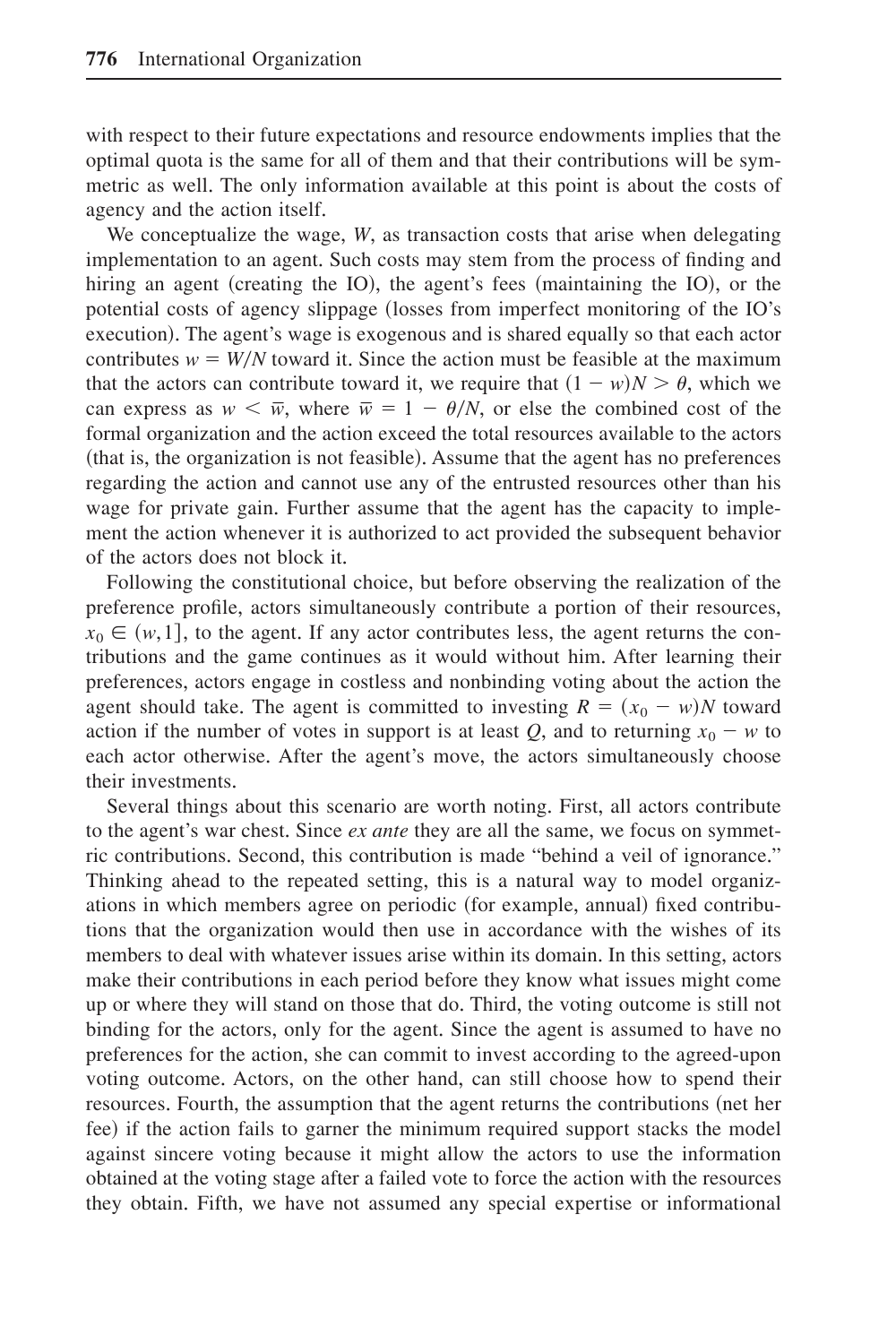with respect to their future expectations and resource endowments implies that the optimal quota is the same for all of them and that their contributions will be symmetric as well. The only information available at this point is about the costs of agency and the action itself.

We conceptualize the wage, *W*, as transaction costs that arise when delegating implementation to an agent. Such costs may stem from the process of finding and hiring an agent (creating the IO), the agent's fees (maintaining the IO), or the potential costs of agency slippage (losses from imperfect monitoring of the IO's execution). The agent's wage is exogenous and is shared equally so that each actor contributes  $w = W/N$  toward it. Since the action must be feasible at the maximum that the actors can contribute toward it, we require that  $(1 - w)N > \theta$ , which we can express as  $w < \overline{w}$ , where  $\overline{w} = 1 - \theta/N$ , or else the combined cost of the formal organization and the action exceed the total resources available to the actors (that is, the organization is not feasible). Assume that the agent has no preferences regarding the action and cannot use any of the entrusted resources other than his wage for private gain. Further assume that the agent has the capacity to implement the action whenever it is authorized to act provided the subsequent behavior of the actors does not block it.

Following the constitutional choice, but before observing the realization of the preference profile, actors simultaneously contribute a portion of their resources,  $x_0 \in (w,1]$ , to the agent. If any actor contributes less, the agent returns the contributions and the game continues as it would without him. After learning their preferences, actors engage in costless and nonbinding voting about the action the agent should take. The agent is committed to investing  $R = (x_0 - w)N$  toward action if the number of votes in support is at least *Q*, and to returning  $x_0 - w$  to each actor otherwise. After the agent's move, the actors simultaneously choose their investments.

Several things about this scenario are worth noting. First, all actors contribute to the agent's war chest. Since *ex ante* they are all the same, we focus on symmetric contributions. Second, this contribution is made "behind a veil of ignorance." Thinking ahead to the repeated setting, this is a natural way to model organizations in which members agree on periodic (for example, annual) fixed contributions that the organization would then use in accordance with the wishes of its members to deal with whatever issues arise within its domain. In this setting, actors make their contributions in each period before they know what issues might come up or where they will stand on those that do. Third, the voting outcome is still not binding for the actors, only for the agent. Since the agent is assumed to have no preferences for the action, she can commit to invest according to the agreed-upon voting outcome. Actors, on the other hand, can still choose how to spend their resources. Fourth, the assumption that the agent returns the contributions (net her fee) if the action fails to garner the minimum required support stacks the model against sincere voting because it might allow the actors to use the information obtained at the voting stage after a failed vote to force the action with the resources they obtain+ Fifth, we have not assumed any special expertise or informational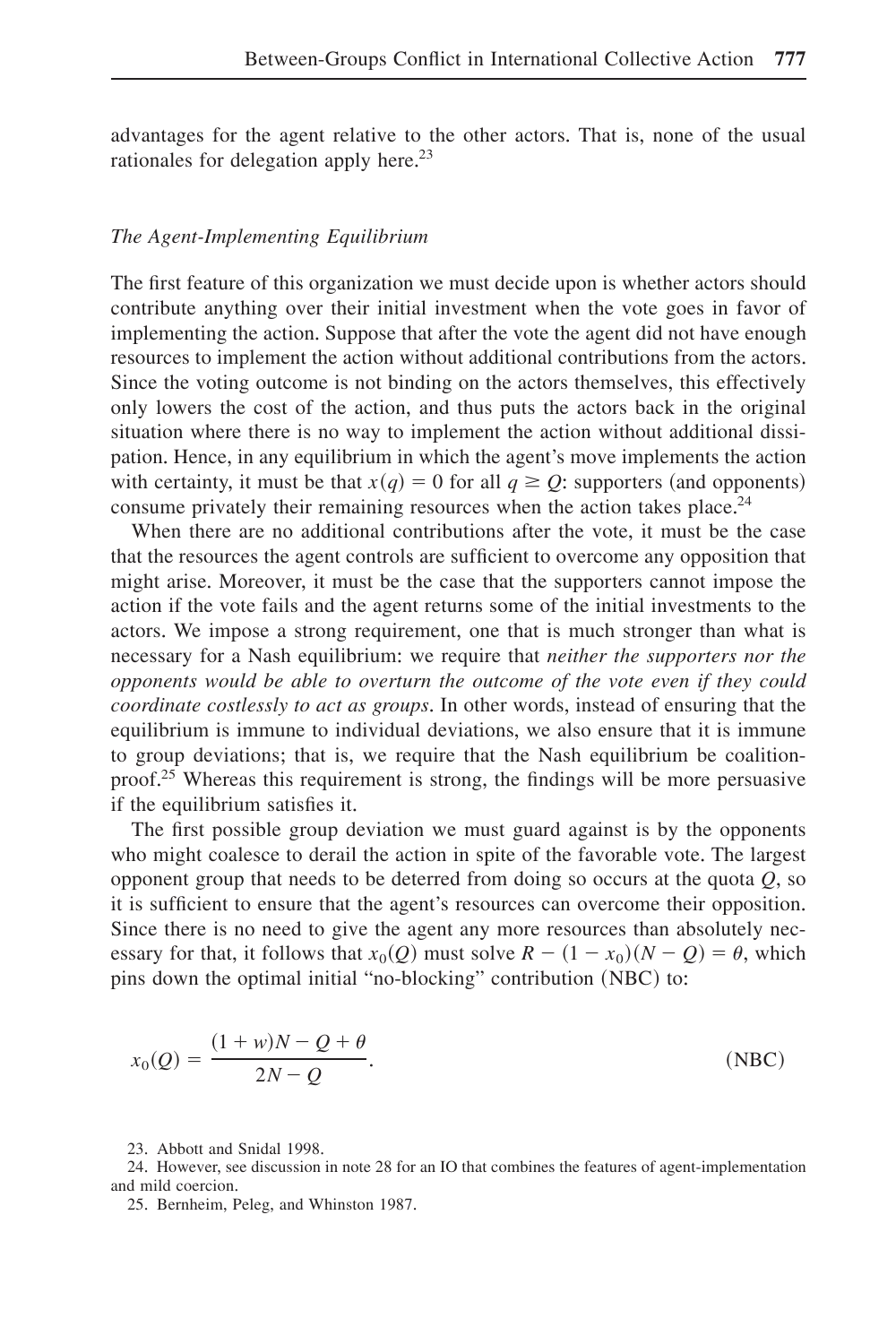advantages for the agent relative to the other actors+ That is, none of the usual rationales for delegation apply here.<sup>23</sup>

#### *The Agent-Implementing Equilibrium*

The first feature of this organization we must decide upon is whether actors should contribute anything over their initial investment when the vote goes in favor of implementing the action. Suppose that after the vote the agent did not have enough resources to implement the action without additional contributions from the actors. Since the voting outcome is not binding on the actors themselves, this effectively only lowers the cost of the action, and thus puts the actors back in the original situation where there is no way to implement the action without additional dissipation. Hence, in any equilibrium in which the agent's move implements the action with certainty, it must be that  $x(q) = 0$  for all  $q \ge Q$ : supporters (and opponents) consume privately their remaining resources when the action takes place.<sup>24</sup>

When there are no additional contributions after the vote, it must be the case that the resources the agent controls are sufficient to overcome any opposition that might arise. Moreover, it must be the case that the supporters cannot impose the action if the vote fails and the agent returns some of the initial investments to the actors. We impose a strong requirement, one that is much stronger than what is necessary for a Nash equilibrium: we require that *neither the supporters nor the opponents would be able to overturn the outcome of the vote even if they could coordinate costlessly to act as groups*. In other words, instead of ensuring that the equilibrium is immune to individual deviations, we also ensure that it is immune to group deviations; that is, we require that the Nash equilibrium be coalitionproof.<sup>25</sup> Whereas this requirement is strong, the findings will be more persuasive if the equilibrium satisfies it.

The first possible group deviation we must guard against is by the opponents who might coalesce to derail the action in spite of the favorable vote. The largest opponent group that needs to be deterred from doing so occurs at the quota *Q*, so it is sufficient to ensure that the agent's resources can overcome their opposition. Since there is no need to give the agent any more resources than absolutely necessary for that, it follows that  $x_0(Q)$  must solve  $R - (1 - x_0)(N - Q) = \theta$ , which pins down the optimal initial "no-blocking" contribution (NBC) to:

$$
x_0(Q) = \frac{(1+w)N - Q + \theta}{2N - Q}.
$$
 (NBC)

23. Abbott and Snidal 1998.

24. However, see discussion in note 28 for an IO that combines the features of agent-implementation and mild coercion.

25. Bernheim, Peleg, and Whinston 1987.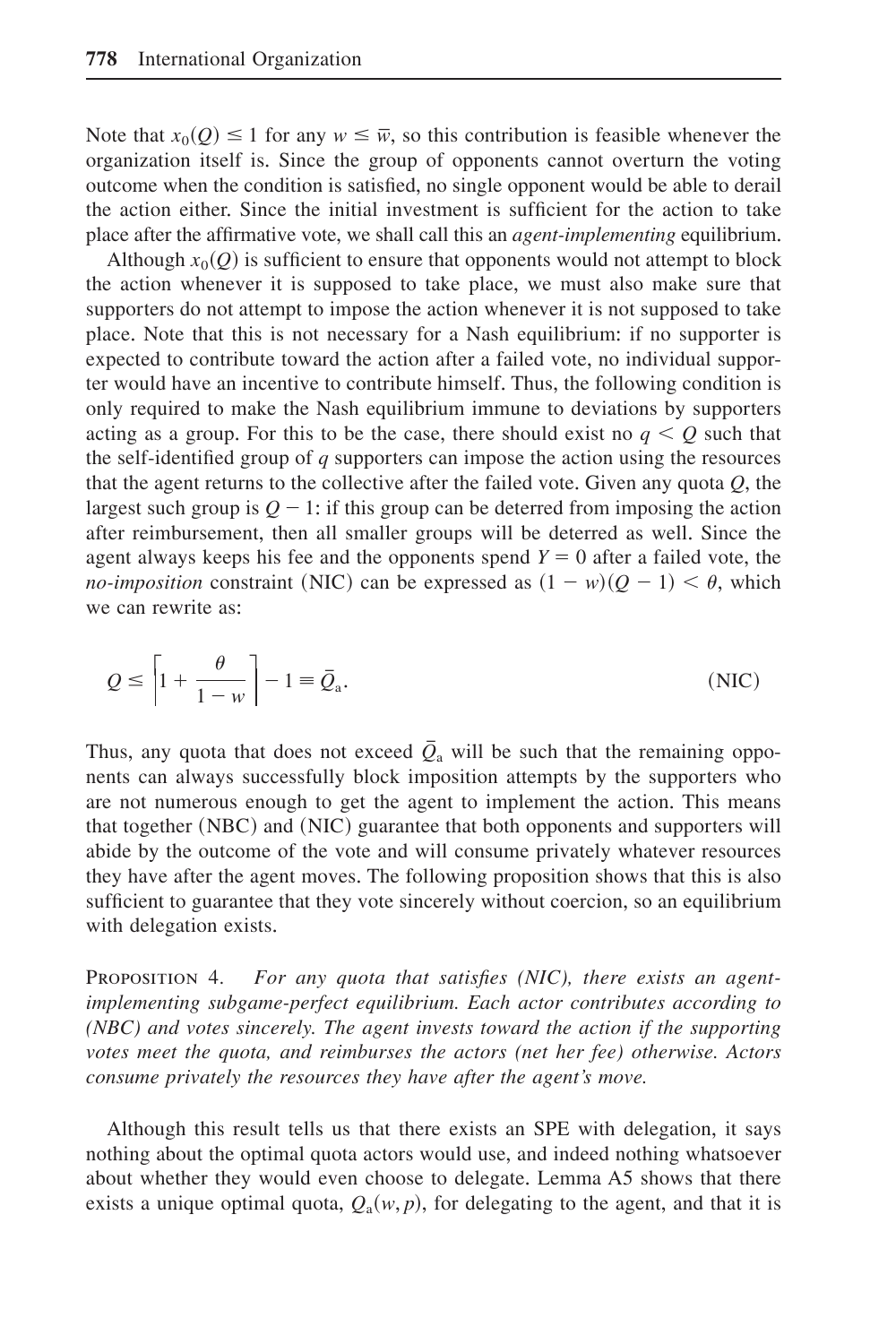Note that  $x_0(Q) \le 1$  for any  $w \le \overline{w}$ , so this contribution is feasible whenever the organization itself is. Since the group of opponents cannot overturn the voting outcome when the condition is satisfied, no single opponent would be able to derail the action either. Since the initial investment is sufficient for the action to take place after the affirmative vote, we shall call this an *agent-implementing* equilibrium.

Although  $x_0(Q)$  is sufficient to ensure that opponents would not attempt to block the action whenever it is supposed to take place, we must also make sure that supporters do not attempt to impose the action whenever it is not supposed to take place. Note that this is not necessary for a Nash equilibrium: if no supporter is expected to contribute toward the action after a failed vote, no individual supporter would have an incentive to contribute himself. Thus, the following condition is only required to make the Nash equilibrium immune to deviations by supporters acting as a group. For this to be the case, there should exist no  $q < Q$  such that the self-identified group of *q* supporters can impose the action using the resources that the agent returns to the collective after the failed vote. Given any quota  $Q$ , the largest such group is  $Q - 1$ : if this group can be deterred from imposing the action after reimbursement, then all smaller groups will be deterred as well. Since the agent always keeps his fee and the opponents spend  $Y = 0$  after a failed vote, the *no-imposition* constraint (NIC) can be expressed as  $(1 - w)(Q - 1) < \theta$ , which we can rewrite as:

$$
Q \le \left[1 + \frac{\theta}{1 - w}\right] - 1 \equiv \bar{Q}_{\mathbf{a}}.\tag{NIC}
$$

Thus, any quota that does not exceed  $\overline{Q}_a$  will be such that the remaining opponents can always successfully block imposition attempts by the supporters who are not numerous enough to get the agent to implement the action. This means that together (NBC) and (NIC) guarantee that both opponents and supporters will abide by the outcome of the vote and will consume privately whatever resources they have after the agent moves. The following proposition shows that this is also sufficient to guarantee that they vote sincerely without coercion, so an equilibrium with delegation exists.

Proposition 4. *For any quota that satisfies (NIC), there exists an agentimplementing subgame-perfect equilibrium. Each actor contributes according to (NBC) and votes sincerely. The agent invests toward the action if the supporting votes meet the quota, and reimburses the actors (net her fee) otherwise. Actors consume privately the resources they have after the agent's move.*

Although this result tells us that there exists an SPE with delegation, it says nothing about the optimal quota actors would use, and indeed nothing whatsoever about whether they would even choose to delegate. Lemma A5 shows that there exists a unique optimal quota,  $Q_a(w, p)$ , for delegating to the agent, and that it is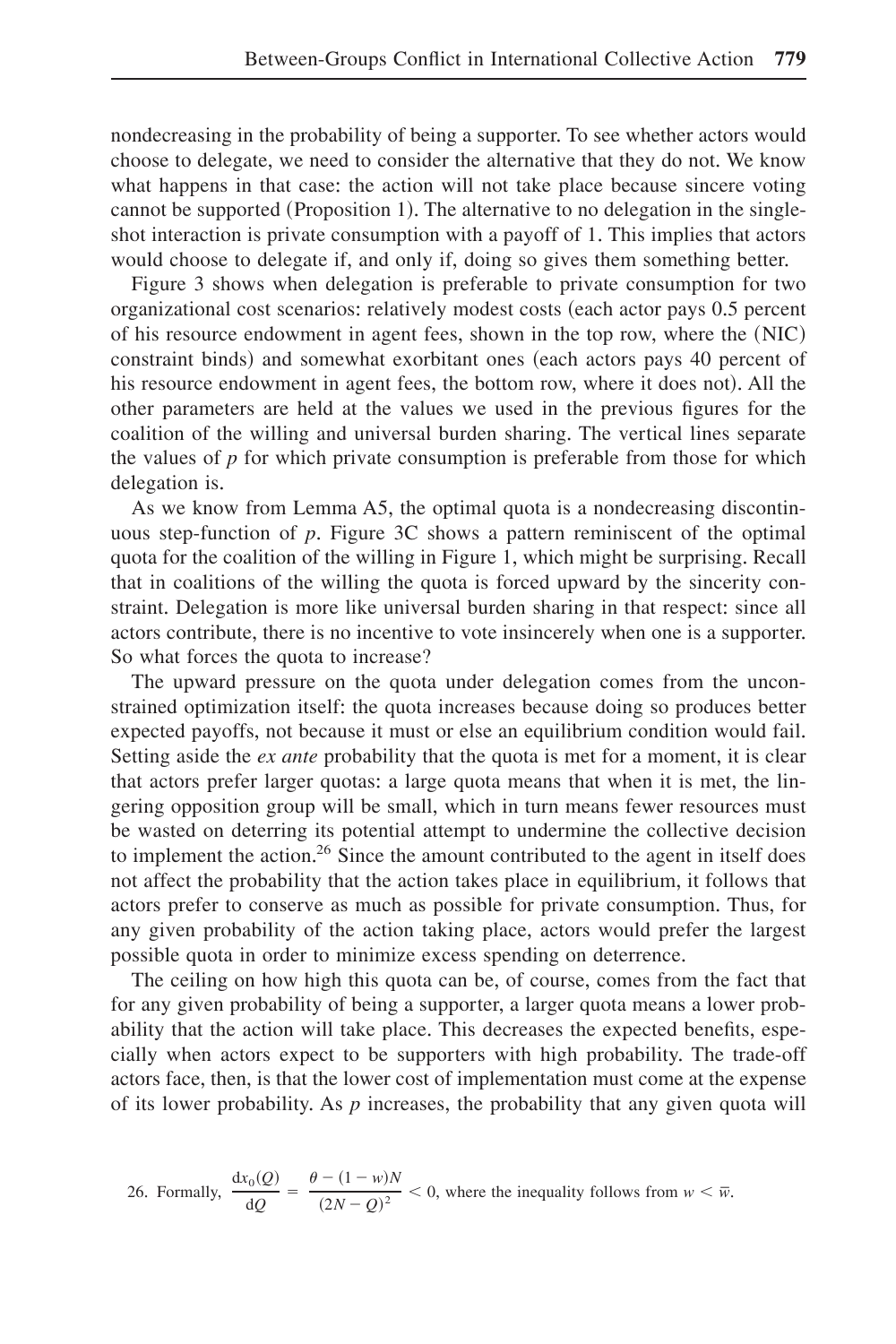nondecreasing in the probability of being a supporter. To see whether actors would choose to delegate, we need to consider the alternative that they do not. We know what happens in that case: the action will not take place because sincere voting cannot be supported  $(Proposition 1)$ . The alternative to no delegation in the singleshot interaction is private consumption with a payoff of 1. This implies that actors would choose to delegate if, and only if, doing so gives them something better.

Figure 3 shows when delegation is preferable to private consumption for two organizational cost scenarios: relatively modest costs (each actor pays 0.5 percent of his resource endowment in agent fees, shown in the top row, where the (NIC) constraint binds) and somewhat exorbitant ones (each actors pays 40 percent of his resource endowment in agent fees, the bottom row, where it does not). All the other parameters are held at the values we used in the previous figures for the coalition of the willing and universal burden sharing. The vertical lines separate the values of *p* for which private consumption is preferable from those for which delegation is.

As we know from Lemma A5, the optimal quota is a nondecreasing discontinuous step-function of  $p$ . Figure 3C shows a pattern reminiscent of the optimal quota for the coalition of the willing in Figure 1, which might be surprising. Recall that in coalitions of the willing the quota is forced upward by the sincerity constraint. Delegation is more like universal burden sharing in that respect: since all actors contribute, there is no incentive to vote insincerely when one is a supporter. So what forces the quota to increase?

The upward pressure on the quota under delegation comes from the unconstrained optimization itself: the quota increases because doing so produces better expected payoffs, not because it must or else an equilibrium condition would fail. Setting aside the *ex ante* probability that the quota is met for a moment, it is clear that actors prefer larger quotas: a large quota means that when it is met, the lingering opposition group will be small, which in turn means fewer resources must be wasted on deterring its potential attempt to undermine the collective decision to implement the action.<sup>26</sup> Since the amount contributed to the agent in itself does not affect the probability that the action takes place in equilibrium, it follows that actors prefer to conserve as much as possible for private consumption. Thus, for any given probability of the action taking place, actors would prefer the largest possible quota in order to minimize excess spending on deterrence.

The ceiling on how high this quota can be, of course, comes from the fact that for any given probability of being a supporter, a larger quota means a lower probability that the action will take place. This decreases the expected benefits, especially when actors expect to be supporters with high probability. The trade-off actors face, then, is that the lower cost of implementation must come at the expense of its lower probability. As  $p$  increases, the probability that any given quota will

26. Formally, 
$$
\frac{dx_0(Q)}{dQ} = \frac{\theta - (1 - w)N}{(2N - Q)^2} < 0
$$
, where the inequality follows from  $w < \overline{w}$ .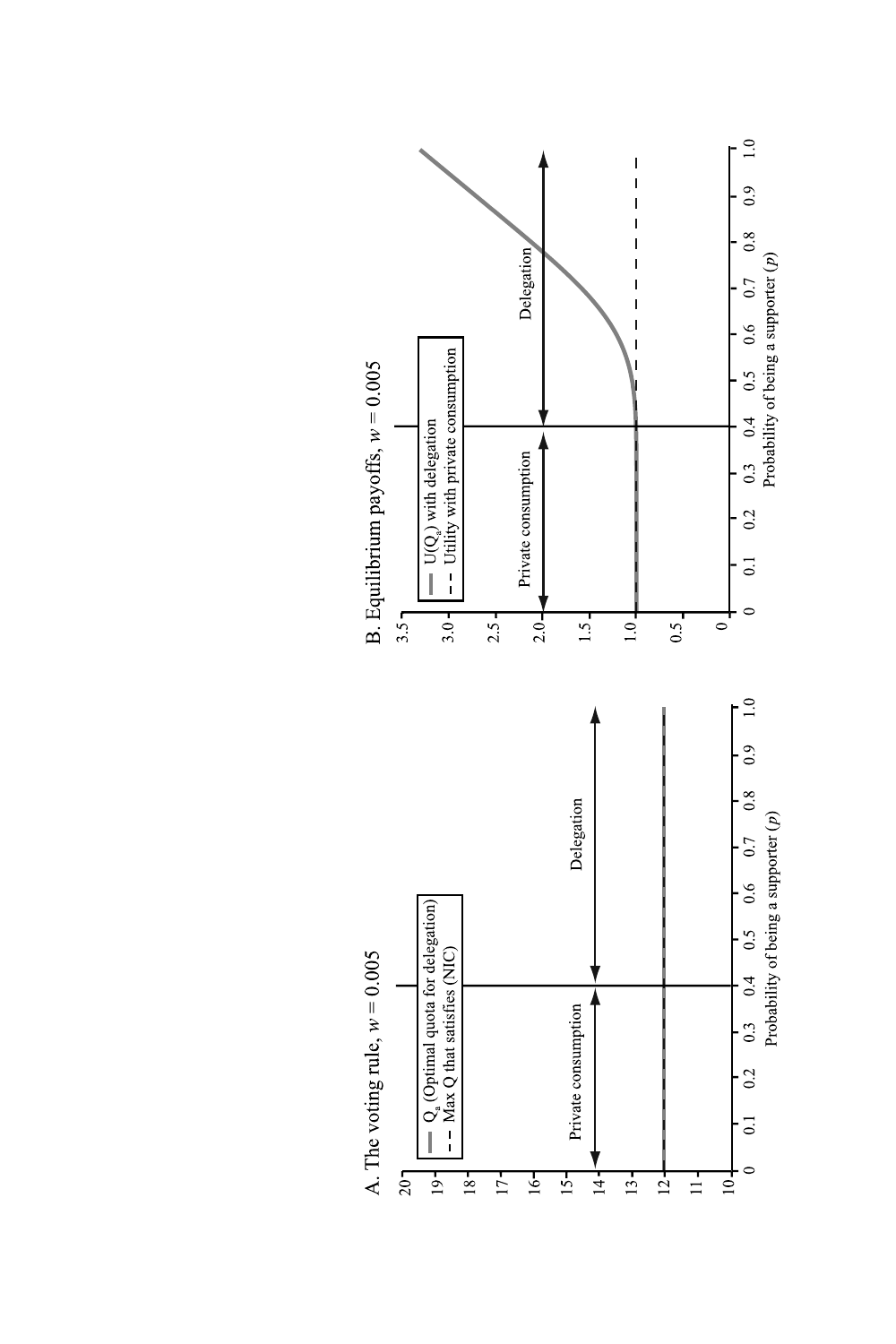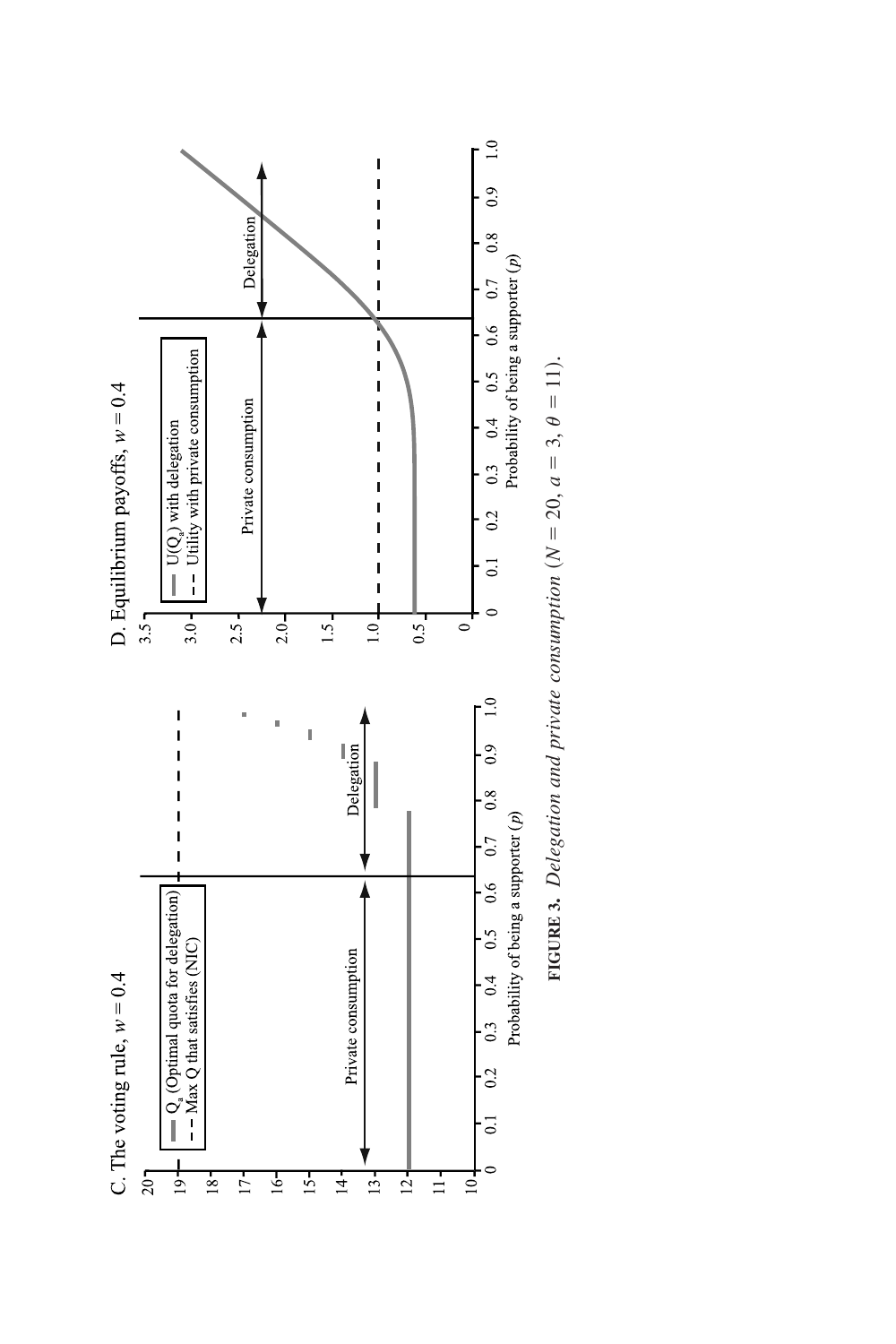

**FIGURE 3.** Delegation and private consumption ( $N = 20$ ,  $a = 3$ ,  $\theta = 11$ ).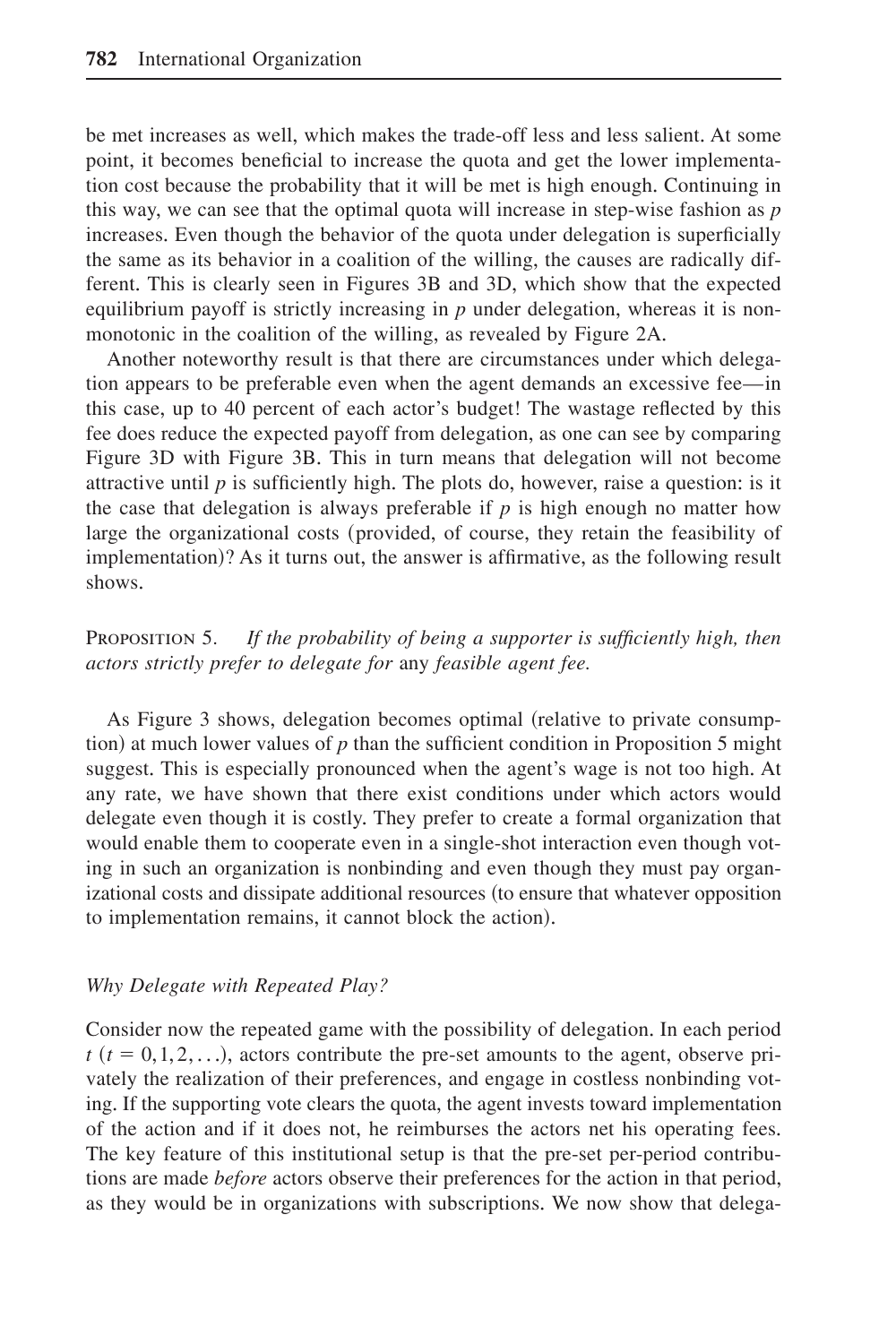be met increases as well, which makes the trade-off less and less salient. At some point, it becomes beneficial to increase the quota and get the lower implementation cost because the probability that it will be met is high enough. Continuing in this way, we can see that the optimal quota will increase in step-wise fashion as *p* increases. Even though the behavior of the quota under delegation is superficially the same as its behavior in a coalition of the willing, the causes are radically different. This is clearly seen in Figures 3B and 3D, which show that the expected equilibrium payoff is strictly increasing in *p* under delegation, whereas it is nonmonotonic in the coalition of the willing, as revealed by Figure 2A.

Another noteworthy result is that there are circumstances under which delegation appears to be preferable even when the agent demands an excessive fee—in this case, up to 40 percent of each actor's budget! The wastage reflected by this fee does reduce the expected payoff from delegation, as one can see by comparing Figure 3D with Figure 3B. This in turn means that delegation will not become attractive until  $p$  is sufficiently high. The plots do, however, raise a question: is it the case that delegation is always preferable if  $p$  is high enough no matter how large the organizational costs (provided, of course, they retain the feasibility of implementation)? As it turns out, the answer is affirmative, as the following result shows.

## Proposition 5. *If the probability of being a supporter is sufficiently high, then actors strictly prefer to delegate for* any *feasible agent fee.*

As Figure 3 shows, delegation becomes optimal (relative to private consumption) at much lower values of  $p$  than the sufficient condition in Proposition 5 might suggest. This is especially pronounced when the agent's wage is not too high. At any rate, we have shown that there exist conditions under which actors would delegate even though it is costly. They prefer to create a formal organization that would enable them to cooperate even in a single-shot interaction even though voting in such an organization is nonbinding and even though they must pay organizational costs and dissipate additional resources (to ensure that whatever opposition to implementation remains, it cannot block the action).

#### *Why Delegate with Repeated Play?*

Consider now the repeated game with the possibility of delegation. In each period  $t$  ( $t = 0,1,2,...$ ), actors contribute the pre-set amounts to the agent, observe privately the realization of their preferences, and engage in costless nonbinding voting. If the supporting vote clears the quota, the agent invests toward implementation of the action and if it does not, he reimburses the actors net his operating fees. The key feature of this institutional setup is that the pre-set per-period contributions are made *before* actors observe their preferences for the action in that period, as they would be in organizations with subscriptions. We now show that delega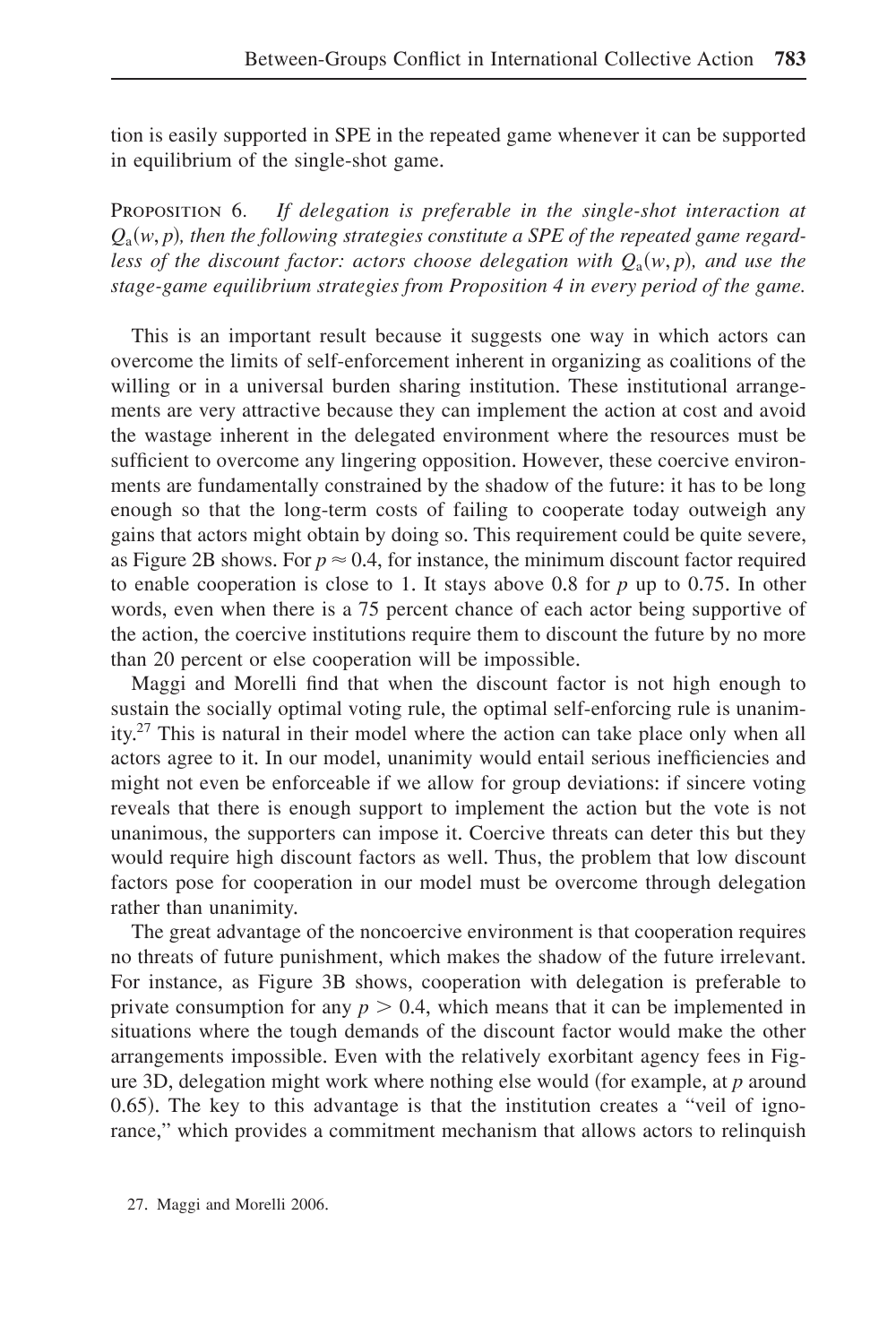tion is easily supported in SPE in the repeated game whenever it can be supported in equilibrium of the single-shot game.

Proposition 6. *If delegation is preferable in the single-shot interaction at*  $Q_a(w, p)$ , then the following strategies constitute a SPE of the repeated game regard*less of the discount factor: actors choose delegation with*  $Q_a(w, p)$ *, and use the stage-game equilibrium strategies from Proposition 4 in every period of the game.*

This is an important result because it suggests one way in which actors can overcome the limits of self-enforcement inherent in organizing as coalitions of the willing or in a universal burden sharing institution. These institutional arrangements are very attractive because they can implement the action at cost and avoid the wastage inherent in the delegated environment where the resources must be sufficient to overcome any lingering opposition. However, these coercive environments are fundamentally constrained by the shadow of the future: it has to be long enough so that the long-term costs of failing to cooperate today outweigh any gains that actors might obtain by doing so+ This requirement could be quite severe, as Figure 2B shows. For  $p \approx 0.4$ , for instance, the minimum discount factor required to enable cooperation is close to 1. It stays above 0.8 for  $p$  up to 0.75. In other words, even when there is a 75 percent chance of each actor being supportive of the action, the coercive institutions require them to discount the future by no more than 20 percent or else cooperation will be impossible+

Maggi and Morelli find that when the discount factor is not high enough to sustain the socially optimal voting rule, the optimal self-enforcing rule is unanimity.<sup>27</sup> This is natural in their model where the action can take place only when all actors agree to it. In our model, unanimity would entail serious inefficiencies and might not even be enforceable if we allow for group deviations: if sincere voting reveals that there is enough support to implement the action but the vote is not unanimous, the supporters can impose it. Coercive threats can deter this but they would require high discount factors as well. Thus, the problem that low discount factors pose for cooperation in our model must be overcome through delegation rather than unanimity.

The great advantage of the noncoercive environment is that cooperation requires no threats of future punishment, which makes the shadow of the future irrelevant. For instance, as Figure 3B shows, cooperation with delegation is preferable to private consumption for any  $p > 0.4$ , which means that it can be implemented in situations where the tough demands of the discount factor would make the other arrangements impossible. Even with the relatively exorbitant agency fees in Figure 3D, delegation might work where nothing else would (for example, at *p* around  $(0.65)$ . The key to this advantage is that the institution creates a "veil of ignorance," which provides a commitment mechanism that allows actors to relinquish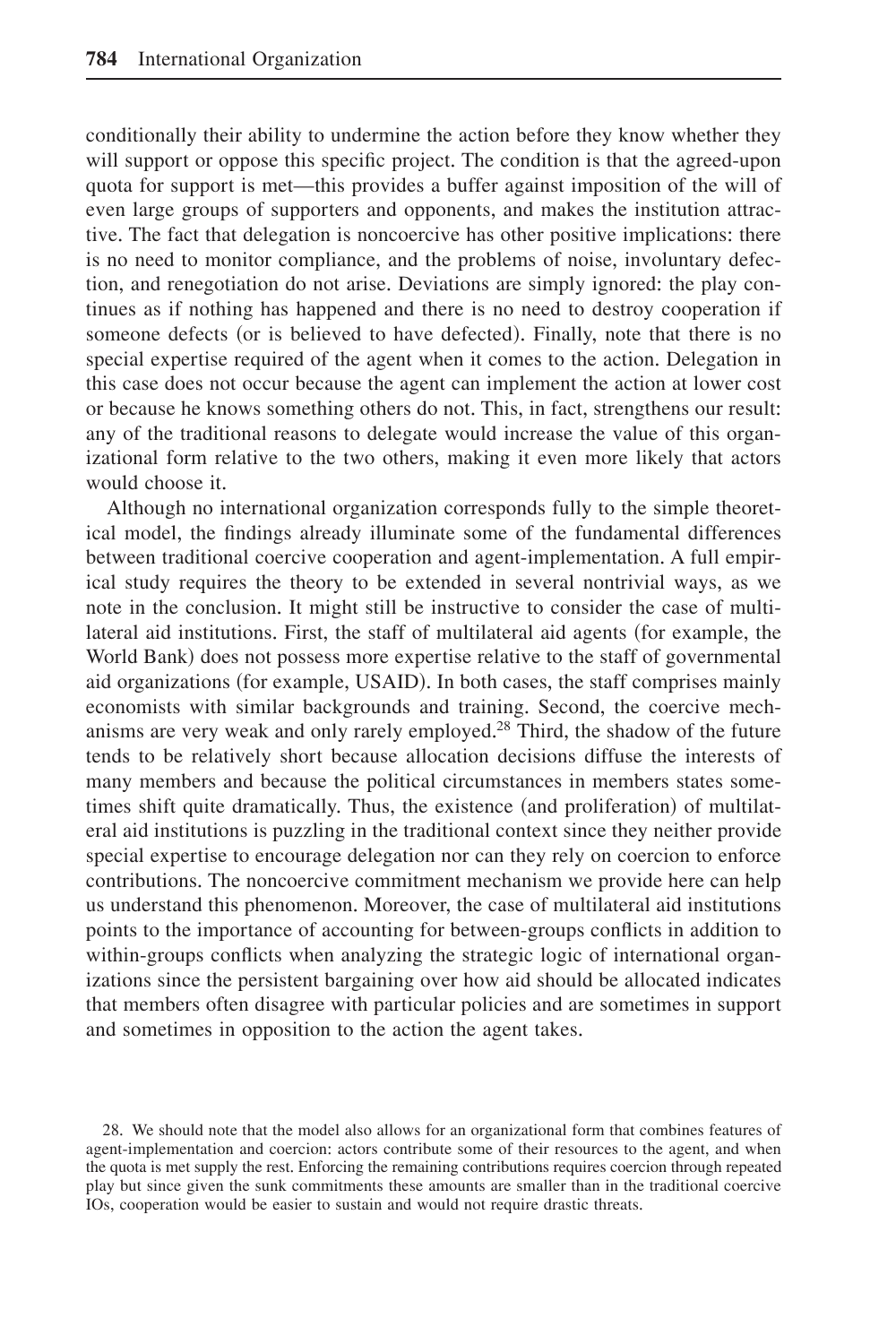conditionally their ability to undermine the action before they know whether they will support or oppose this specific project. The condition is that the agreed-upon quota for support is met—this provides a buffer against imposition of the will of even large groups of supporters and opponents, and makes the institution attractive. The fact that delegation is noncoercive has other positive implications: there is no need to monitor compliance, and the problems of noise, involuntary defection, and renegotiation do not arise. Deviations are simply ignored: the play continues as if nothing has happened and there is no need to destroy cooperation if someone defects (or is believed to have defected). Finally, note that there is no special expertise required of the agent when it comes to the action. Delegation in this case does not occur because the agent can implement the action at lower cost or because he knows something others do not. This, in fact, strengthens our result: any of the traditional reasons to delegate would increase the value of this organizational form relative to the two others, making it even more likely that actors would choose it.

Although no international organization corresponds fully to the simple theoretical model, the findings already illuminate some of the fundamental differences between traditional coercive cooperation and agent-implementation. A full empirical study requires the theory to be extended in several nontrivial ways, as we note in the conclusion. It might still be instructive to consider the case of multilateral aid institutions. First, the staff of multilateral aid agents (for example, the World Bank) does not possess more expertise relative to the staff of governmental aid organizations (for example, USAID). In both cases, the staff comprises mainly economists with similar backgrounds and training. Second, the coercive mechanisms are very weak and only rarely employed.<sup>28</sup> Third, the shadow of the future tends to be relatively short because allocation decisions diffuse the interests of many members and because the political circumstances in members states sometimes shift quite dramatically. Thus, the existence (and proliferation) of multilateral aid institutions is puzzling in the traditional context since they neither provide special expertise to encourage delegation nor can they rely on coercion to enforce contributions. The noncoercive commitment mechanism we provide here can help us understand this phenomenon. Moreover, the case of multilateral aid institutions points to the importance of accounting for between-groups conflicts in addition to within-groups conflicts when analyzing the strategic logic of international organizations since the persistent bargaining over how aid should be allocated indicates that members often disagree with particular policies and are sometimes in support and sometimes in opposition to the action the agent takes.

<sup>28.</sup> We should note that the model also allows for an organizational form that combines features of agent-implementation and coercion: actors contribute some of their resources to the agent, and when the quota is met supply the rest. Enforcing the remaining contributions requires coercion through repeated play but since given the sunk commitments these amounts are smaller than in the traditional coercive IOs, cooperation would be easier to sustain and would not require drastic threats+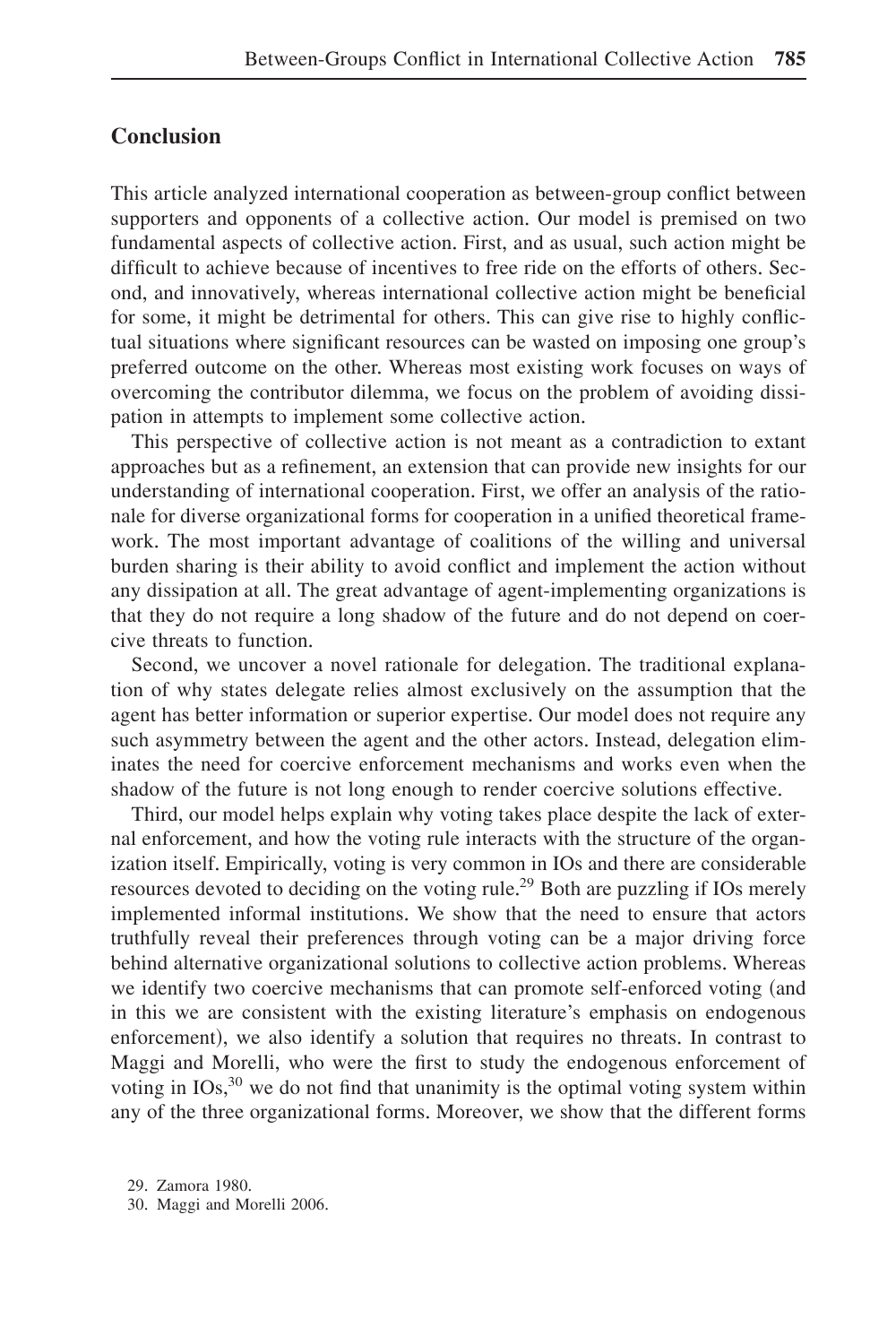# **Conclusion**

This article analyzed international cooperation as between-group conflict between supporters and opponents of a collective action. Our model is premised on two fundamental aspects of collective action. First, and as usual, such action might be difficult to achieve because of incentives to free ride on the efforts of others. Second, and innovatively, whereas international collective action might be beneficial for some, it might be detrimental for others. This can give rise to highly conflictual situations where significant resources can be wasted on imposing one group's preferred outcome on the other. Whereas most existing work focuses on ways of overcoming the contributor dilemma, we focus on the problem of avoiding dissipation in attempts to implement some collective action.

This perspective of collective action is not meant as a contradiction to extant approaches but as a refinement, an extension that can provide new insights for our understanding of international cooperation. First, we offer an analysis of the rationale for diverse organizational forms for cooperation in a unified theoretical framework. The most important advantage of coalitions of the willing and universal burden sharing is their ability to avoid conflict and implement the action without any dissipation at all. The great advantage of agent-implementing organizations is that they do not require a long shadow of the future and do not depend on coercive threats to function.

Second, we uncover a novel rationale for delegation. The traditional explanation of why states delegate relies almost exclusively on the assumption that the agent has better information or superior expertise. Our model does not require any such asymmetry between the agent and the other actors. Instead, delegation eliminates the need for coercive enforcement mechanisms and works even when the shadow of the future is not long enough to render coercive solutions effective.

Third, our model helps explain why voting takes place despite the lack of external enforcement, and how the voting rule interacts with the structure of the organization itself. Empirically, voting is very common in IOs and there are considerable resources devoted to deciding on the voting rule.<sup>29</sup> Both are puzzling if IOs merely implemented informal institutions. We show that the need to ensure that actors truthfully reveal their preferences through voting can be a major driving force behind alternative organizational solutions to collective action problems. Whereas we identify two coercive mechanisms that can promote self-enforced voting (and in this we are consistent with the existing literature's emphasis on endogenous enforcement), we also identify a solution that requires no threats. In contrast to Maggi and Morelli, who were the first to study the endogenous enforcement of voting in IOs, <sup>30</sup> we do not find that unanimity is the optimal voting system within any of the three organizational forms. Moreover, we show that the different forms

29. Zamora 1980.

30. Maggi and Morelli 2006.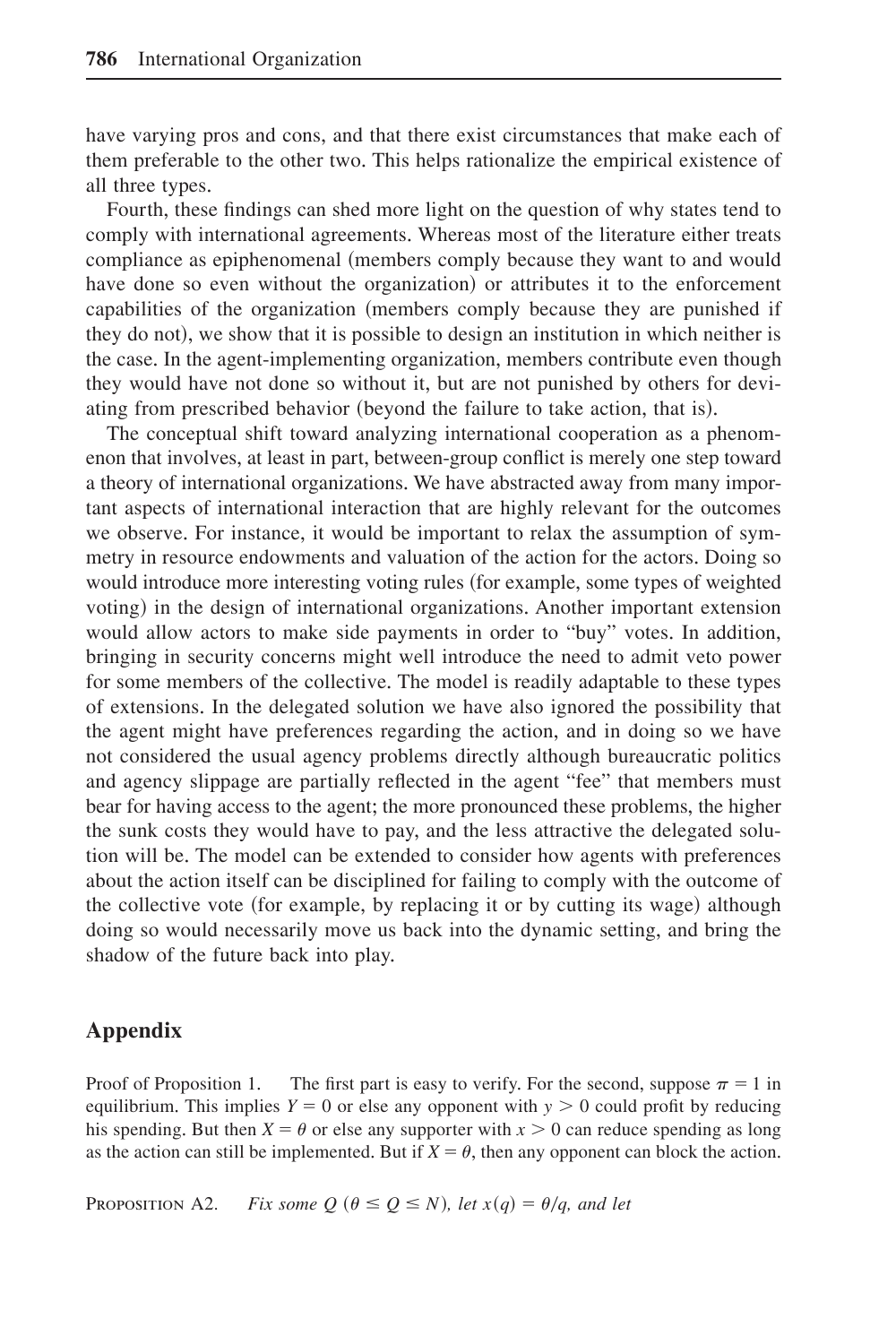have varying pros and cons, and that there exist circumstances that make each of them preferable to the other two. This helps rationalize the empirical existence of all three types.

Fourth, these findings can shed more light on the question of why states tend to comply with international agreements. Whereas most of the literature either treats compliance as epiphenomenal (members comply because they want to and would have done so even without the organization) or attributes it to the enforcement capabilities of the organization (members comply because they are punished if they do not), we show that it is possible to design an institution in which neither is the case. In the agent-implementing organization, members contribute even though they would have not done so without it, but are not punished by others for deviating from prescribed behavior (beyond the failure to take action, that is).

The conceptual shift toward analyzing international cooperation as a phenomenon that involves, at least in part, between-group conflict is merely one step toward a theory of international organizations. We have abstracted away from many important aspects of international interaction that are highly relevant for the outcomes we observe. For instance, it would be important to relax the assumption of symmetry in resource endowments and valuation of the action for the actors. Doing so would introduce more interesting voting rules (for example, some types of weighted voting) in the design of international organizations. Another important extension would allow actors to make side payments in order to "buy" votes. In addition, bringing in security concerns might well introduce the need to admit veto power for some members of the collective. The model is readily adaptable to these types of extensions. In the delegated solution we have also ignored the possibility that the agent might have preferences regarding the action, and in doing so we have not considered the usual agency problems directly although bureaucratic politics and agency slippage are partially reflected in the agent "fee" that members must bear for having access to the agent; the more pronounced these problems, the higher the sunk costs they would have to pay, and the less attractive the delegated solution will be. The model can be extended to consider how agents with preferences about the action itself can be disciplined for failing to comply with the outcome of the collective vote (for example, by replacing it or by cutting its wage) although doing so would necessarily move us back into the dynamic setting, and bring the shadow of the future back into play.

# **Appendix**

Proof of Proposition 1. The first part is easy to verify. For the second, suppose  $\pi = 1$  in equilibrium. This implies  $Y = 0$  or else any opponent with  $y > 0$  could profit by reducing his spending. But then  $X = \theta$  or else any supporter with  $x > 0$  can reduce spending as long as the action can still be implemented. But if  $X = \theta$ , then any opponent can block the action.

PROPOSITION A2. *Fix some*  $Q$  ( $\theta \le Q \le N$ ), let  $x(q) = \theta/q$ , and let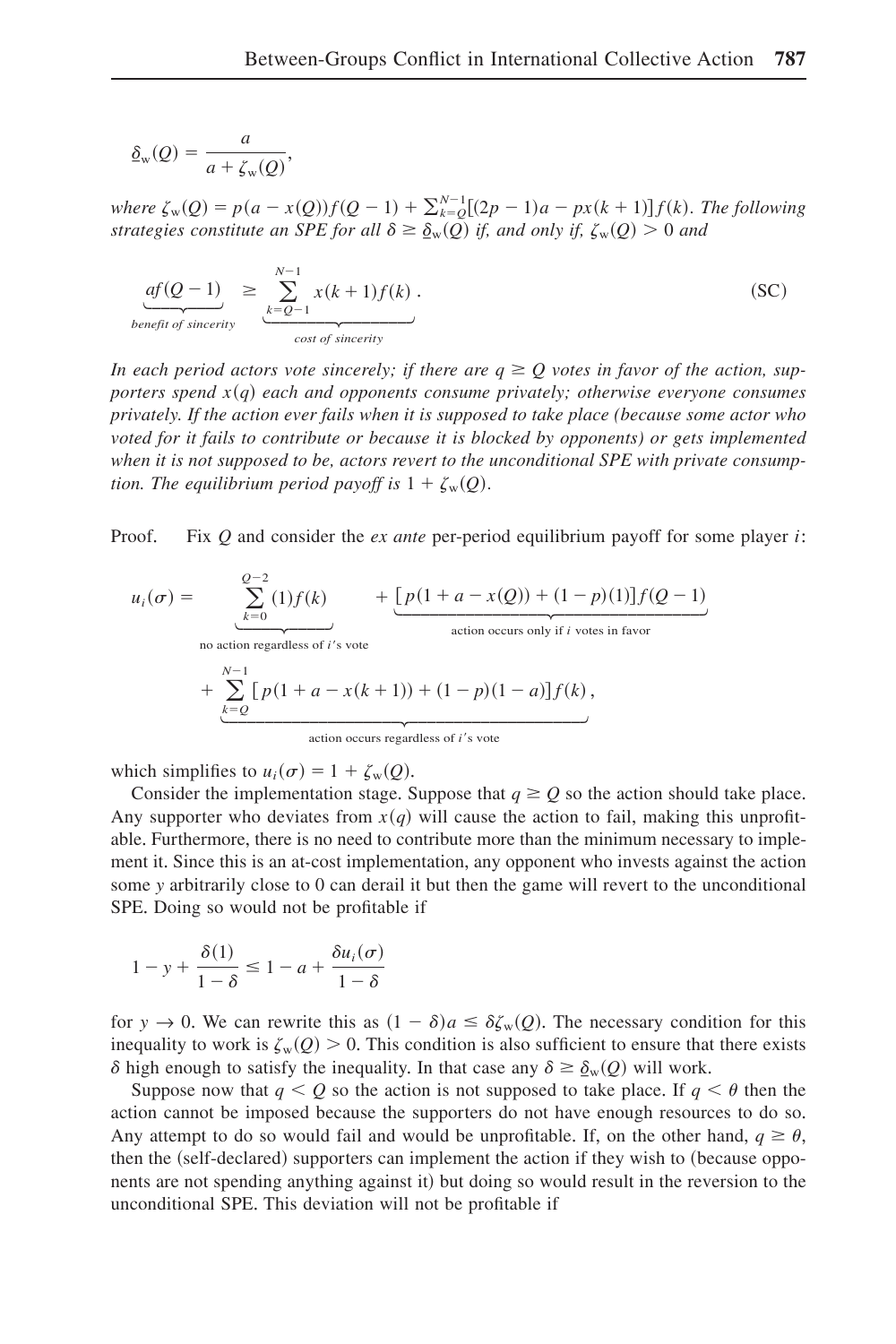$$
\underline{\delta}_{\mathbf{w}}(Q) = \frac{a}{a + \zeta_{\mathbf{w}}(Q)},
$$

 $where \ \zeta_w(Q) = p(a - x(Q))f(Q - 1) + \sum_{k=Q}^{N-1}[(2p - 1)a - px(k + 1)]f(k).$  *The following strategies constitute an SPE for all*  $\delta \geq \underline{\delta}_{w}(Q)$  *if, and only if,*  $\zeta_{w}(Q) > 0$  *and* 

$$
\underbrace{af(Q-1)}_{\text{benefit of sincerity}} \geq \underbrace{\sum_{k=Q-1}^{N-1} x(k+1)f(k)}_{\text{cost of sincerity}}.
$$
\n(SC)

*In each period actors vote sincerely; if there are*  $q \ge Q$  *votes in favor of the action, supporters spend x*~*q*! *each and opponents consume privately; otherwise everyone consumes privately. If the action ever fails when it is supposed to take place (because some actor who voted for it fails to contribute or because it is blocked by opponents) or gets implemented when it is not supposed to be, actors revert to the unconditional SPE with private consumption. The equilibrium period payoff is*  $1 + \zeta_w(Q)$ *.* 

Proof+ Fix *Q* and consider the *ex ante* per-period equilibrium payoff for some player *i*:

$$
u_i(\sigma) = \sum_{k=0}^{Q-2} (1)f(k) + \underbrace{[p(1+a-x(Q)) + (1-p)(1)]f(Q-1)}_{\text{action occurs only if } i \text{ votes in favor}}
$$
  
+ 
$$
\sum_{k=Q}^{N-1} [p(1+a-x(k+1)) + (1-p)(1-a)]f(k),
$$
  
action occurs regardless of *i*'s vote

which simplifies to  $u_i(\sigma) = 1 + \zeta_w(Q)$ .

Consider the implementation stage. Suppose that  $q \ge Q$  so the action should take place. Any supporter who deviates from  $x(q)$  will cause the action to fail, making this unprofitable. Furthermore, there is no need to contribute more than the minimum necessary to implement it. Since this is an at-cost implementation, any opponent who invests against the action some *y* arbitrarily close to 0 can derail it but then the game will revert to the unconditional SPE. Doing so would not be profitable if

$$
1 - y + \frac{\delta(1)}{1 - \delta} \le 1 - a + \frac{\delta u_i(\sigma)}{1 - \delta}
$$

for *y*  $\rightarrow$  0. We can rewrite this as  $(1 - \delta)a \leq \delta \zeta_w(Q)$ . The necessary condition for this inequality to work is  $\zeta_w(Q) > 0$ . This condition is also sufficient to ensure that there exists  $\delta$  high enough to satisfy the inequality. In that case any  $\delta \ge \underline{\delta}_{w}(Q)$  will work.

Suppose now that  $q < Q$  so the action is not supposed to take place. If  $q < \theta$  then the action cannot be imposed because the supporters do not have enough resources to do so. Any attempt to do so would fail and would be unprofitable. If, on the other hand,  $q \ge \theta$ , then the (self-declared) supporters can implement the action if they wish to (because opponents are not spending anything against it) but doing so would result in the reversion to the unconditional SPE. This deviation will not be profitable if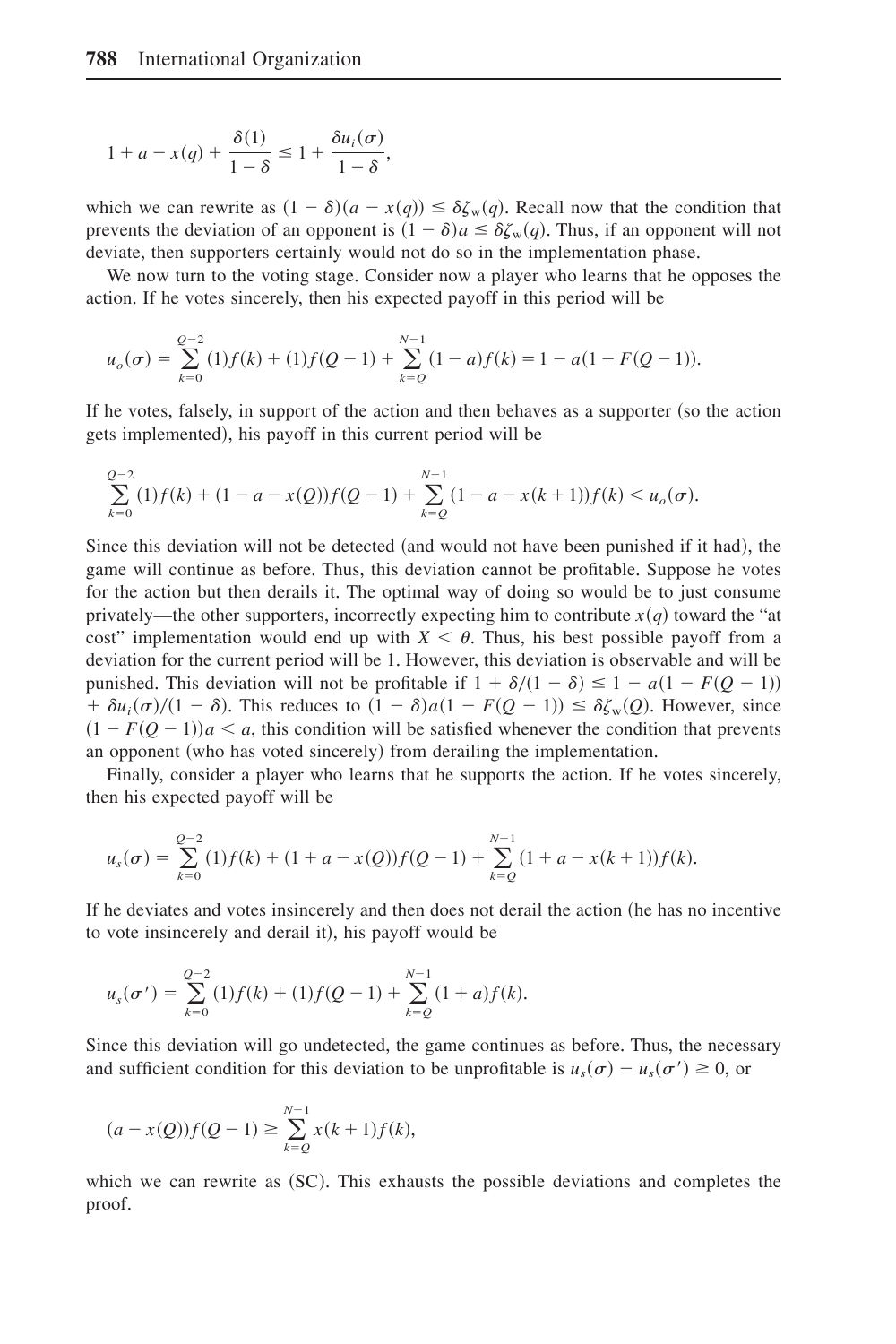$$
1 + a - x(q) + \frac{\delta(1)}{1 - \delta} \le 1 + \frac{\delta u_i(\sigma)}{1 - \delta},
$$

which we can rewrite as  $(1 - \delta)(a - x(q)) \leq \delta \zeta_w(q)$ . Recall now that the condition that prevents the deviation of an opponent is  $(1 - \delta)a \leq \delta \zeta_w(q)$ . Thus, if an opponent will not deviate, then supporters certainly would not do so in the implementation phase.

We now turn to the voting stage. Consider now a player who learns that he opposes the action. If he votes sincerely, then his expected payoff in this period will be

$$
u_o(\sigma) = \sum_{k=0}^{Q-2} (1)f(k) + (1)f(Q-1) + \sum_{k=Q}^{N-1} (1-a)f(k) = 1 - a(1 - F(Q-1)).
$$

If he votes, falsely, in support of the action and then behaves as a supporter (so the action gets implemented), his payoff in this current period will be

$$
\sum_{k=0}^{Q-2} (1)f(k) + (1 - a - x(Q))f(Q-1) + \sum_{k=Q}^{N-1} (1 - a - x(k+1))f(k) < u_o(\sigma).
$$

Since this deviation will not be detected (and would not have been punished if it had), the game will continue as before. Thus, this deviation cannot be profitable. Suppose he votes for the action but then derails it. The optimal way of doing so would be to just consume privately—the other supporters, incorrectly expecting him to contribute  $x(q)$  toward the "at cost" implementation would end up with  $X \leq \theta$ . Thus, his best possible payoff from a deviation for the current period will be 1. However, this deviation is observable and will be punished. This deviation will not be profitable if  $1 + \delta/(1 - \delta) \le 1 - a(1 - F(Q - 1))$  $\partial_t + \delta u_i(\sigma)/(1 - \delta)$ . This reduces to  $(1 - \delta)a(1 - F(Q - 1)) \leq \delta \zeta_w(Q)$ . However, since  $(1 - F(Q - 1))a < a$ , this condition will be satisfied whenever the condition that prevents an opponent (who has voted sincerely) from derailing the implementation.

Finally, consider a player who learns that he supports the action. If he votes sincerely, then his expected payoff will be

$$
u_s(\sigma) = \sum_{k=0}^{Q-2} (1)f(k) + (1+a-x(Q))f(Q-1) + \sum_{k=Q}^{N-1} (1+a-x(k+1))f(k).
$$

If he deviates and votes insincerely and then does not derail the action (he has no incentive to vote insincerely and derail it), his payoff would be

$$
u_s(\sigma') = \sum_{k=0}^{Q-2} (1)f(k) + (1)f(Q-1) + \sum_{k=Q}^{N-1} (1+a)f(k).
$$

Since this deviation will go undetected, the game continues as before. Thus, the necessary and sufficient condition for this deviation to be unprofitable is  $u_s(\sigma) - u_s(\sigma') \ge 0$ , or

$$
(a - x(Q))f(Q - 1) \ge \sum_{k=Q}^{N-1} x(k+1)f(k),
$$

which we can rewrite as  $(SC)$ . This exhausts the possible deviations and completes the proof.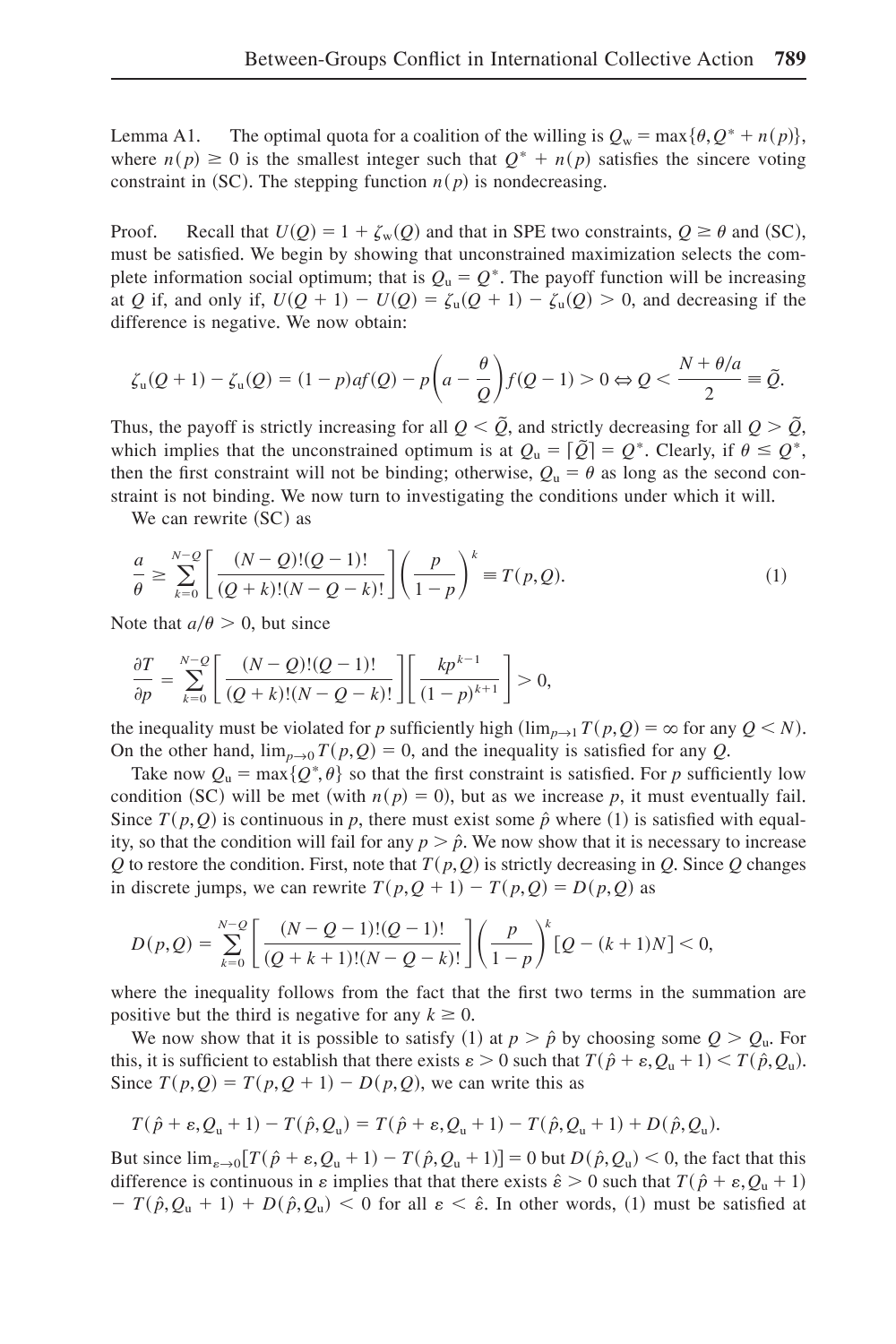Lemma A1. The optimal quota for a coalition of the willing is  $Q_w = \max\{\theta, Q^* + n(p)\},\$ where  $n(p) \ge 0$  is the smallest integer such that  $Q^* + n(p)$  satisfies the sincere voting constraint in  $~(SC)$ . The stepping function  $n(p)$  is nondecreasing.

Proof. Recall that  $U(Q) = 1 + \zeta_w(Q)$  and that in SPE two constraints,  $Q \ge \theta$  and (SC), must be satisfied. We begin by showing that unconstrained maximization selects the complete information social optimum; that is  $Q_{u} = Q^*$ . The payoff function will be increasing at *Q* if, and only if,  $U(Q + 1) - U(Q) = \zeta_u(Q + 1) - \zeta_u(Q) > 0$ , and decreasing if the difference is negative. We now obtain:

$$
\zeta_{\mathbf{u}}(Q+1)-\zeta_{\mathbf{u}}(Q)=(1-p)af(Q)-p\bigg(a-\frac{\theta}{Q}\bigg)f(Q-1)>0\Leftrightarrow Q<\frac{N+\theta/a}{2}\equiv\tilde{Q}.
$$

Thus, the payoff is strictly increasing for all  $Q < \tilde{Q}$ , and strictly decreasing for all  $Q > \tilde{Q}$ , which implies that the unconstrained optimum is at  $Q_u = [\tilde{Q}] = Q^*$ . Clearly, if  $\theta \leq Q^*$ , then the first constraint will not be binding; otherwise,  $Q_{\rm u} = \theta$  as long as the second constraint is not binding. We now turn to investigating the conditions under which it will.

We can rewrite  $(**SC**)$  as

$$
\frac{a}{\theta} \ge \sum_{k=0}^{N-Q} \left[ \frac{(N-Q)!(Q-1)!}{(Q+k)!(N-Q-k)!} \right] \left( \frac{p}{1-p} \right)^k \equiv T(p,Q).
$$
\n(1)

Note that  $a/\theta > 0$ , but since

$$
\frac{\partial T}{\partial p} = \sum_{k=0}^{N-Q} \left[ \frac{(N-Q)!(Q-1)!}{(Q+k)!(N-Q-k)!} \right] \left[ \frac{kp^{k-1}}{(1-p)^{k+1}} \right] > 0,
$$

the inequality must be violated for *p* sufficiently high  $(\lim_{p\to1} T(p, Q) = \infty$  for any  $Q \leq N$ ). On the other hand,  $\lim_{p\to 0} T(p, Q) = 0$ , and the inequality is satisfied for any *Q*.

Take now  $Q_{\rm u} = \max\{Q^*, \theta\}$  so that the first constraint is satisfied. For *p* sufficiently low condition (SC) will be met (with  $n(p) = 0$ ), but as we increase p, it must eventually fail. Since  $T(p, Q)$  is continuous in p, there must exist some  $\hat{p}$  where (1) is satisfied with equality, so that the condition will fail for any  $p > \hat{p}$ . We now show that it is necessary to increase *Q* to restore the condition. First, note that  $T(p, Q)$  is strictly decreasing in *Q*. Since *Q* changes in discrete jumps, we can rewrite  $T(p, Q + 1) - T(p, Q) = D(p, Q)$  as

$$
D(p,Q) = \sum_{k=0}^{N-Q} \left[ \frac{(N-Q-1)!(Q-1)!}{(Q+k+1)!(N-Q-k)!} \right] \left( \frac{p}{1-p} \right)^k [Q-(k+1)N] < 0,
$$

where the inequality follows from the fact that the first two terms in the summation are positive but the third is negative for any  $k \ge 0$ .

We now show that it is possible to satisfy (1) at  $p > \hat{p}$  by choosing some  $Q > Q_u$ . For this, it is sufficient to establish that there exists  $\varepsilon > 0$  such that  $T(\hat{p} + \varepsilon, Q_u + 1) < T(\hat{p}, Q_u)$ . Since  $T(p, Q) = T(p, Q + 1) - D(p, Q)$ , we can write this as

$$
T(\hat{p}+\varepsilon,\mathcal{Q}_{\mathbf{u}}+1)-T(\hat{p},\mathcal{Q}_{\mathbf{u}})=T(\hat{p}+\varepsilon,\mathcal{Q}_{\mathbf{u}}+1)-T(\hat{p},\mathcal{Q}_{\mathbf{u}}+1)+D(\hat{p},\mathcal{Q}_{\mathbf{u}}).
$$

But since  $\lim_{\varepsilon\to 0} [T(\hat{p} + \varepsilon, Q_u + 1) - T(\hat{p}, Q_u + 1)] = 0$  but  $D(\hat{p}, Q_u) < 0$ , the fact that this difference is continuous in  $\varepsilon$  implies that that there exists  $\hat{\varepsilon} > 0$  such that  $T(\hat{p} + \varepsilon, Q_u + 1)$  $T(T(\hat{p}, Q_{u} + 1) + D(\hat{p}, Q_{u}) < 0$  for all  $\varepsilon < \hat{\varepsilon}$ . In other words, (1) must be satisfied at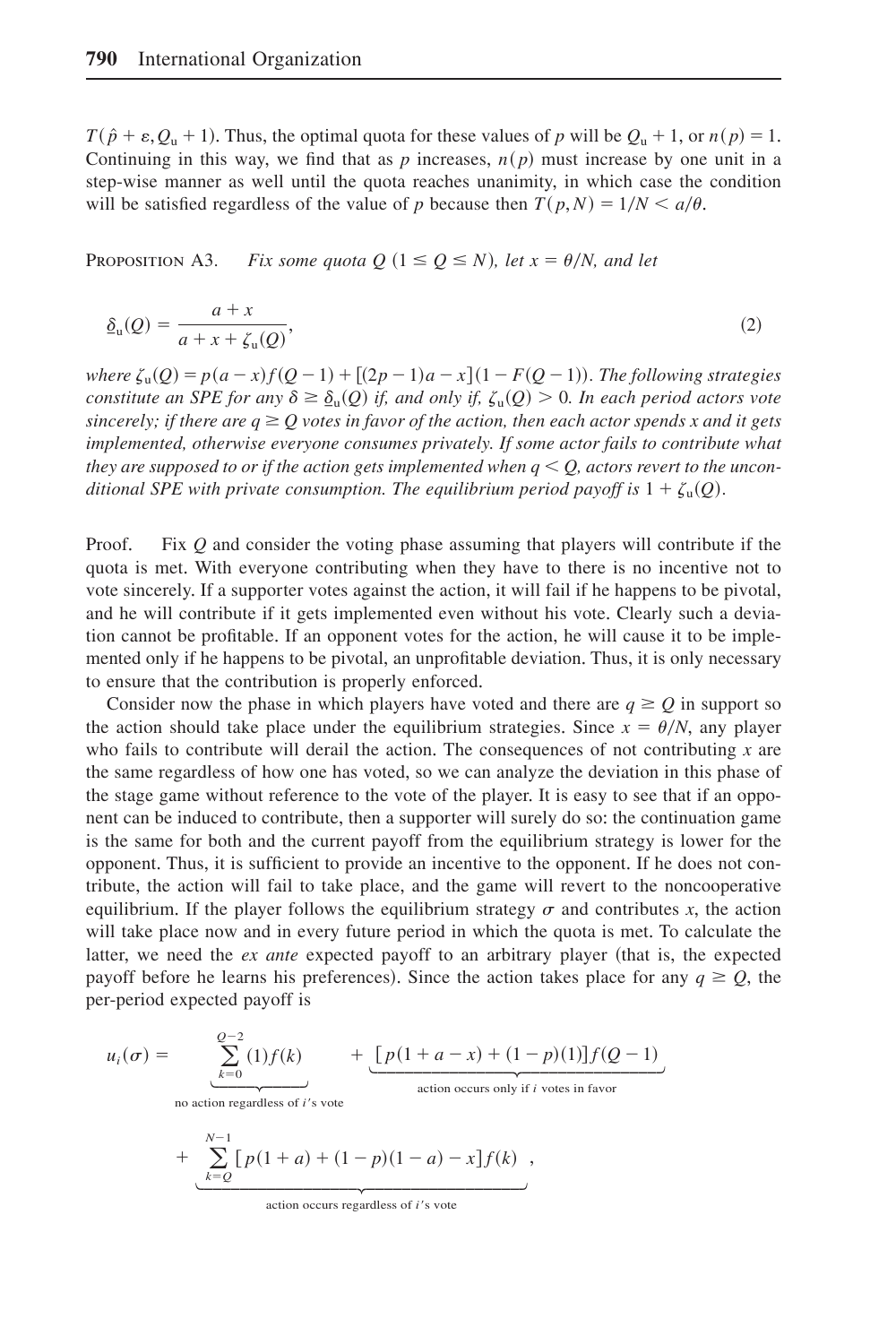$T(\hat{p} + \varepsilon, Q_u + 1)$ . Thus, the optimal quota for these values of *p* will be  $Q_u + 1$ , or  $n(p) = 1$ . Continuing in this way, we find that as *p* increases,  $n(p)$  must increase by one unit in a step-wise manner as well until the quota reaches unanimity, in which case the condition will be satisfied regardless of the value of *p* because then  $T(p, N) = 1/N < a/\theta$ .

Proposition A3. *Fix some quota*  $Q$  ( $1 \le Q \le N$ ), let  $x = \theta/N$ , and let

$$
\underline{\delta}_{\mathbf{u}}(Q) = \frac{a + x}{a + x + \zeta_{\mathbf{u}}(Q)},\tag{2}
$$

 $where \zeta_u(Q) = p(a-x)f(Q-1) + [(2p-1)a-x](1-F(Q-1)).$  The following strategies *constitute an SPE for any*  $\delta \geq \underline{\delta}_u(Q)$  *if, and only if,*  $\zeta_u(Q) > 0$ . In each period actors vote  $s$ incerely; if there are  $q \ge Q$  votes in favor of the action, then each actor spends x and it gets *implemented, otherwise everyone consumes privately. If some actor fails to contribute what they are supposed to or if the action gets implemented when q Q, actors revert to the unconditional SPE with private consumption. The equilibrium period payoff is*  $1 + \zeta_u(Q)$ *.* 

Proof. Fix *Q* and consider the voting phase assuming that players will contribute if the quota is met. With everyone contributing when they have to there is no incentive not to vote sincerely. If a supporter votes against the action, it will fail if he happens to be pivotal, and he will contribute if it gets implemented even without his vote. Clearly such a deviation cannot be profitable. If an opponent votes for the action, he will cause it to be implemented only if he happens to be pivotal, an unprofitable deviation. Thus, it is only necessary to ensure that the contribution is properly enforced.

Consider now the phase in which players have voted and there are  $q \ge Q$  in support so the action should take place under the equilibrium strategies. Since  $x = \theta/N$ , any player who fails to contribute will derail the action. The consequences of not contributing  $x$  are the same regardless of how one has voted, so we can analyze the deviation in this phase of the stage game without reference to the vote of the player. It is easy to see that if an opponent can be induced to contribute, then a supporter will surely do so: the continuation game is the same for both and the current payoff from the equilibrium strategy is lower for the opponent. Thus, it is sufficient to provide an incentive to the opponent. If he does not contribute, the action will fail to take place, and the game will revert to the noncooperative equilibrium. If the player follows the equilibrium strategy  $\sigma$  and contributes  $x$ , the action will take place now and in every future period in which the quota is met. To calculate the latter, we need the *ex ante* expected payoff to an arbitrary player (that is, the expected payoff before he learns his preferences). Since the action takes place for any  $q \geq Q$ , the per-period expected payoff is

$$
u_i(\sigma) = \underbrace{\sum_{k=0}^{Q-2} (1) f(k)}_{\text{no action regardless of } i's \text{ vote}} + \underbrace{[p(1+a-x) + (1-p)(1)] f(Q-1)}_{\text{action occurs only if } i \text{ votes in favor}}
$$

$$
+ \underbrace{\sum_{k=Q}^{N-1} [p(1+a) + (1-p)(1-a) - x] f(k)}_{\text{action occurs regardless of } i's \text{ vote}},
$$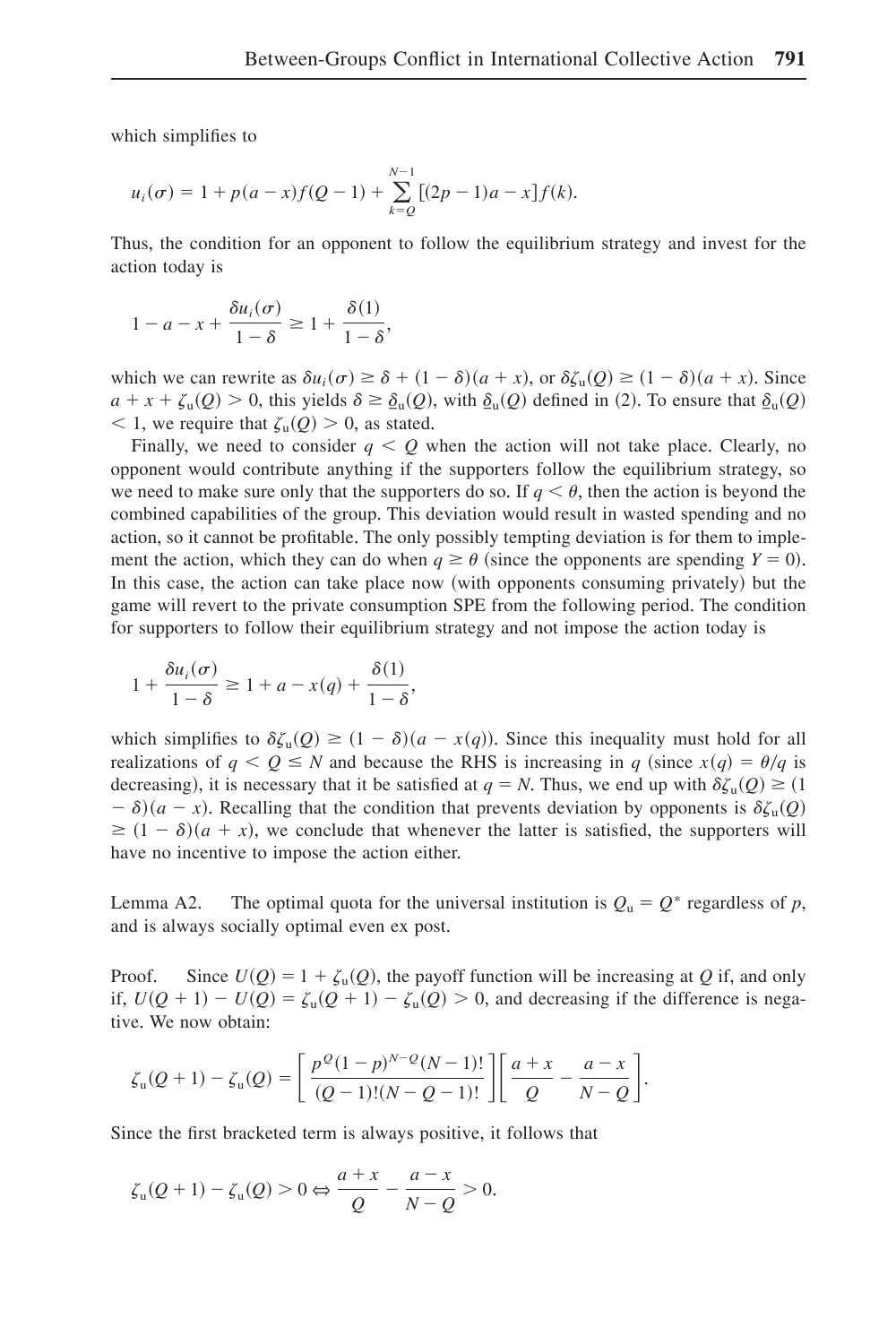which simplifies to

$$
u_i(\sigma) = 1 + p(a-x)f(Q-1) + \sum_{k=Q}^{N-1} [(2p-1)a - x]f(k).
$$

Thus, the condition for an opponent to follow the equilibrium strategy and invest for the action today is

$$
1 - a - x + \frac{\delta u_i(\sigma)}{1 - \delta} \ge 1 + \frac{\delta(1)}{1 - \delta},
$$

which we can rewrite as  $\delta u_i(\sigma) \ge \delta + (1 - \delta)(a + x)$ , or  $\delta \zeta_u(Q) \ge (1 - \delta)(a + x)$ . Since  $a + x + \zeta_u(Q) > 0$ , this yields  $\delta \ge \underline{\delta}_u(Q)$ , with  $\underline{\delta}_u(Q)$  defined in (2). To ensure that  $\underline{\delta}_u(Q)$  $1$ , we require that  $\zeta_n(Q) > 0$ , as stated.

Finally, we need to consider  $q < Q$  when the action will not take place. Clearly, no opponent would contribute anything if the supporters follow the equilibrium strategy, so we need to make sure only that the supporters do so. If  $q < \theta$ , then the action is beyond the combined capabilities of the group. This deviation would result in wasted spending and no action, so it cannot be profitable. The only possibly tempting deviation is for them to implement the action, which they can do when  $q \ge \theta$  (since the opponents are spending  $Y = 0$ ). In this case, the action can take place now (with opponents consuming privately) but the game will revert to the private consumption SPE from the following period. The condition for supporters to follow their equilibrium strategy and not impose the action today is

$$
1 + \frac{\delta u_i(\sigma)}{1 - \delta} \ge 1 + a - x(q) + \frac{\delta(1)}{1 - \delta},
$$

which simplifies to  $\delta \zeta_u(Q) \geq (1 - \delta)(a - x(q))$ . Since this inequality must hold for all realizations of  $q < Q \leq N$  and because the RHS is increasing in *q* (since  $x(q) = \theta/q$  is decreasing), it is necessary that it be satisfied at  $q = N$ . Thus, we end up with  $\delta \zeta_u(Q) \geq (1$  $\delta x = \delta/a - x$ . Recalling that the condition that prevents deviation by opponents is  $\delta \zeta_u(Q)$  $\geq (1 - \delta)(a + x)$ , we conclude that whenever the latter is satisfied, the supporters will have no incentive to impose the action either.

Lemma A2. The optimal quota for the universal institution is  $Q_{u} = Q^*$  regardless of *p*, and is always socially optimal even ex post.

Proof. Since  $U(Q) = 1 + \zeta_u(Q)$ , the payoff function will be increasing at *Q* if, and only if,  $U(Q + 1) - U(Q) = \zeta_u(Q + 1) - \zeta_u(Q) > 0$ , and decreasing if the difference is negative. We now obtain:

$$
\zeta_{\mathsf{u}}(Q+1) - \zeta_{\mathsf{u}}(Q) = \left[ \frac{p^Q(1-p)^{N-Q}(N-1)!}{(Q-1)!(N-Q-1)!} \right] \left[ \frac{a+x}{Q} - \frac{a-x}{N-Q} \right].
$$

Since the first bracketed term is always positive, it follows that

$$
\zeta_{\mathfrak{u}}(Q+1)-\zeta_{\mathfrak{u}}(Q)>0 \Leftrightarrow \frac{a+x}{Q}-\frac{a-x}{N-Q}>0.
$$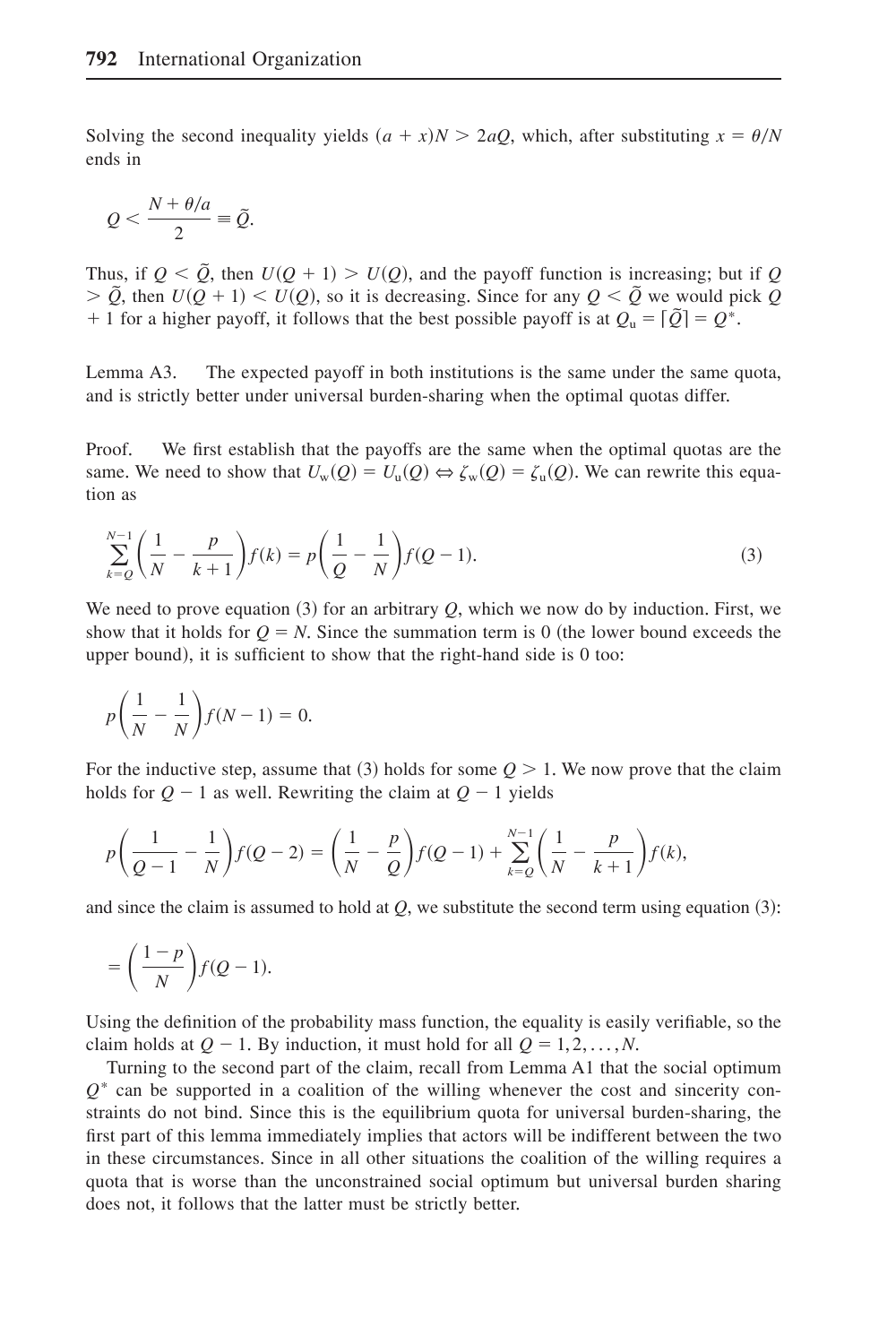Solving the second inequality yields  $(a + x)N > 2aQ$ , which, after substituting  $x = \theta/N$ ends in

$$
Q < \frac{N + \theta/a}{2} = \tilde{Q}.
$$

Thus, if  $Q < \tilde{Q}$ , then  $U(Q + 1) > U(Q)$ , and the payoff function is increasing; but if *Q*  $\geq \tilde{Q}$ , then  $U(Q + 1) < U(Q)$ , so it is decreasing. Since for any  $Q \leq \tilde{Q}$  we would pick *Q* + 1 for a higher payoff, it follows that the best possible payoff is at  $Q_u = [\tilde{Q}] = Q^*$ .

Lemma A3. The expected payoff in both institutions is the same under the same quota, and is strictly better under universal burden-sharing when the optimal quotas differ.

Proof. We first establish that the payoffs are the same when the optimal quotas are the same. We need to show that  $U_w(Q) = U_u(Q) \Leftrightarrow \zeta_w(Q) = \zeta_u(Q)$ . We can rewrite this equation as

$$
\sum_{k=Q}^{N-1} \left( \frac{1}{N} - \frac{p}{k+1} \right) f(k) = p \left( \frac{1}{Q} - \frac{1}{N} \right) f(Q-1).
$$
\n(3)

We need to prove equation  $(3)$  for an arbitrary  $Q$ , which we now do by induction. First, we show that it holds for  $Q = N$ . Since the summation term is 0 (the lower bound exceeds the upper bound), it is sufficient to show that the right-hand side is  $0$  too:

$$
p\bigg(\frac{1}{N}-\frac{1}{N}\bigg)f(N-1)=0.
$$

For the inductive step, assume that  $(3)$  holds for some  $Q > 1$ . We now prove that the claim holds for  $Q - 1$  as well. Rewriting the claim at  $Q - 1$  yields

$$
p\left(\frac{1}{Q-1} - \frac{1}{N}\right) f(Q-2) = \left(\frac{1}{N} - \frac{p}{Q}\right) f(Q-1) + \sum_{k=Q}^{N-1} \left(\frac{1}{N} - \frac{p}{k+1}\right) f(k),
$$

and since the claim is assumed to hold at  $Q$ , we substitute the second term using equation  $(3)$ :

$$
=\bigg(\frac{1-p}{N}\bigg)f(Q-1).
$$

Using the definition of the probability mass function, the equality is easily verifiable, so the claim holds at  $Q - 1$ . By induction, it must hold for all  $Q = 1, 2, ..., N$ .

Turning to the second part of the claim, recall from Lemma A1 that the social optimum *Q*\* can be supported in a coalition of the willing whenever the cost and sincerity constraints do not bind. Since this is the equilibrium quota for universal burden-sharing, the first part of this lemma immediately implies that actors will be indifferent between the two in these circumstances. Since in all other situations the coalition of the willing requires a quota that is worse than the unconstrained social optimum but universal burden sharing does not, it follows that the latter must be strictly better.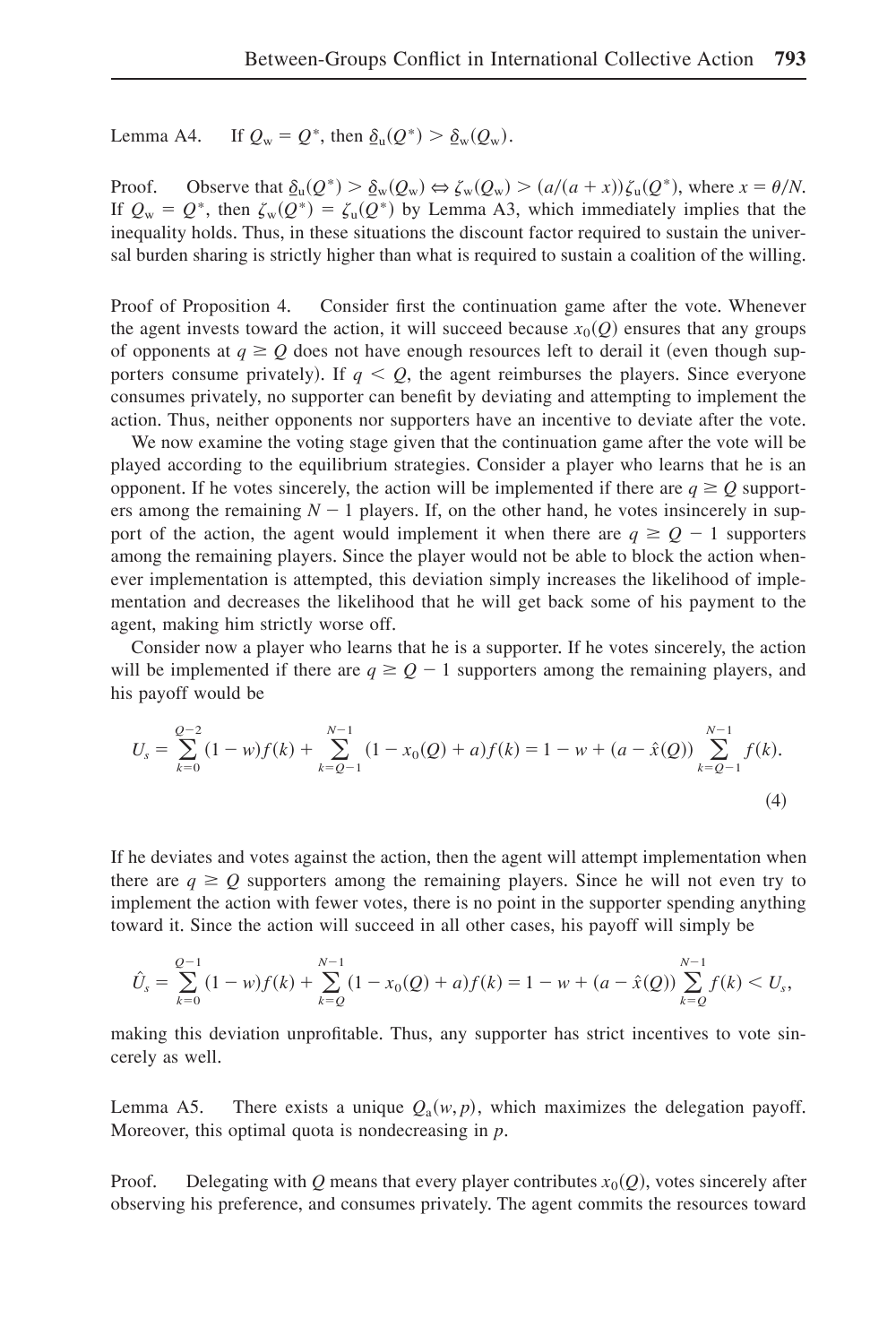Lemma A4.  $= Q^*$ , then  $\underline{\delta}_u(Q^*) > \underline{\delta}_w(Q_w)$ .

Proof. Observe that  $\underline{\delta}_{u}(Q^*) > \underline{\delta}_{w}(Q_w) \Leftrightarrow \zeta_{w}(Q_w) > (a/(a+x))\zeta_{u}(Q^*)$ , where  $x = \theta/N$ . If  $Q_w = Q^*$ , then  $\zeta_w(Q^*) = \zeta_u(Q^*)$  by Lemma A3, which immediately implies that the inequality holds. Thus, in these situations the discount factor required to sustain the universal burden sharing is strictly higher than what is required to sustain a coalition of the willing.

Proof of Proposition 4. Consider first the continuation game after the vote. Whenever the agent invests toward the action, it will succeed because  $x_0(Q)$  ensures that any groups of opponents at  $q \geq Q$  does not have enough resources left to derail it (even though supporters consume privately). If  $q < Q$ , the agent reimburses the players. Since everyone consumes privately, no supporter can benefit by deviating and attempting to implement the action. Thus, neither opponents nor supporters have an incentive to deviate after the vote.

We now examine the voting stage given that the continuation game after the vote will be played according to the equilibrium strategies. Consider a player who learns that he is an opponent. If he votes sincerely, the action will be implemented if there are  $q \ge Q$  supporters among the remaining  $N - 1$  players. If, on the other hand, he votes insincerely in support of the action, the agent would implement it when there are  $q \ge Q - 1$  supporters among the remaining players. Since the player would not be able to block the action whenever implementation is attempted, this deviation simply increases the likelihood of implementation and decreases the likelihood that he will get back some of his payment to the agent, making him strictly worse off.

Consider now a player who learns that he is a supporter. If he votes sincerely, the action will be implemented if there are  $q \geq Q - 1$  supporters among the remaining players, and his payoff would be

$$
U_s = \sum_{k=0}^{Q-2} (1-w)f(k) + \sum_{k=Q-1}^{N-1} (1-x_0(Q) + a)f(k) = 1 - w + (a - \hat{x}(Q)) \sum_{k=Q-1}^{N-1} f(k).
$$
\n(4)

If he deviates and votes against the action, then the agent will attempt implementation when there are  $q \ge Q$  supporters among the remaining players. Since he will not even try to implement the action with fewer votes, there is no point in the supporter spending anything toward it. Since the action will succeed in all other cases, his payoff will simply be

$$
\hat{U}_s = \sum_{k=0}^{Q-1} (1-w)f(k) + \sum_{k=Q}^{N-1} (1-x_0(Q)+a)f(k) = 1-w + (a-\hat{x}(Q)) \sum_{k=Q}^{N-1} f(k) < U_s,
$$

making this deviation unprofitable. Thus, any supporter has strict incentives to vote sincerely as well.

Lemma A5. There exists a unique  $Q_a(w, p)$ , which maximizes the delegation payoff. Moreover, this optimal quota is nondecreasing in  $p$ .

Proof. Delegating with *Q* means that every player contributes  $x_0(Q)$ , votes sincerely after observing his preference, and consumes privately+ The agent commits the resources toward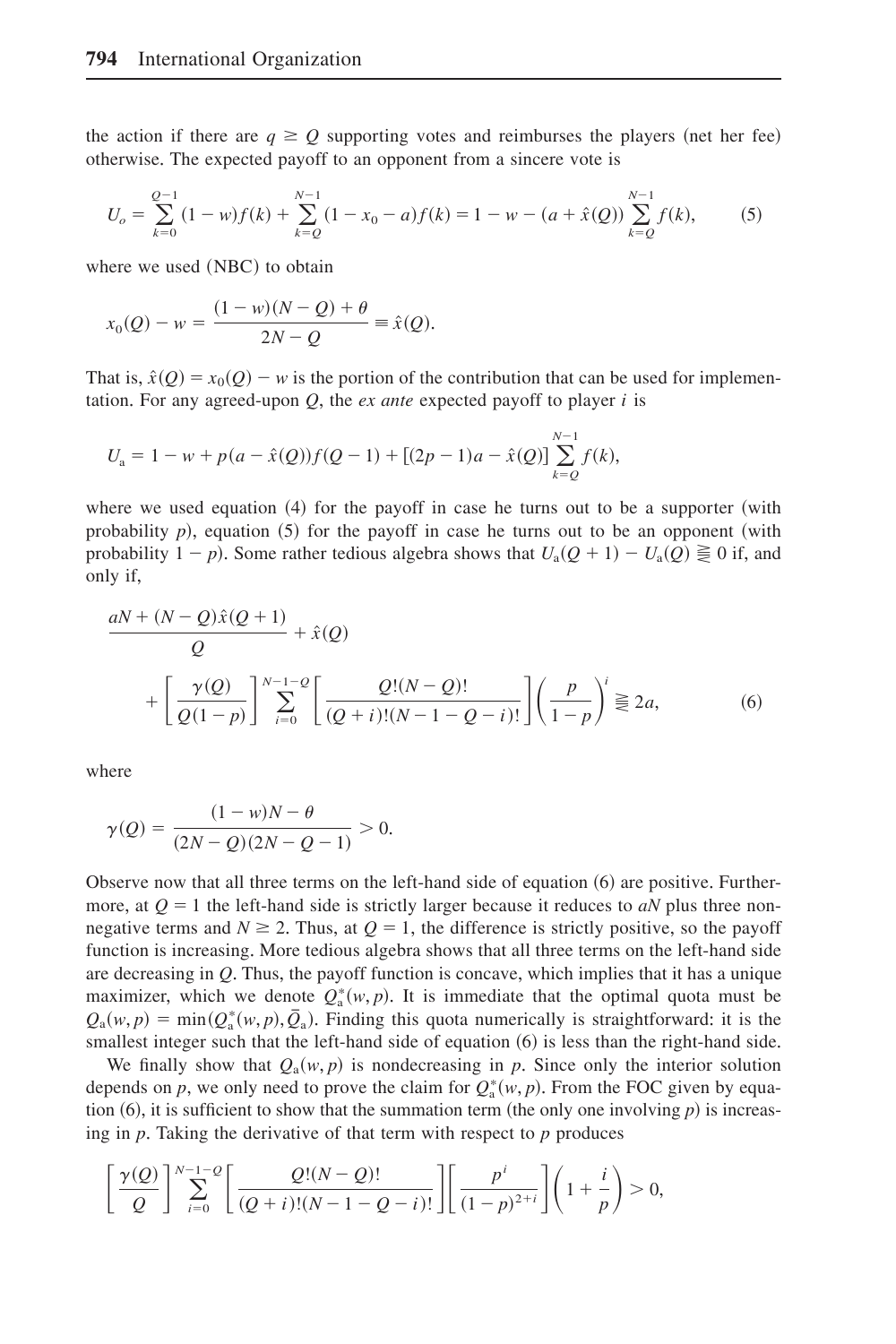the action if there are  $q \ge Q$  supporting votes and reimburses the players (net her fee) otherwise. The expected payoff to an opponent from a sincere vote is

$$
U_o = \sum_{k=0}^{Q-1} (1 - w)f(k) + \sum_{k=Q}^{N-1} (1 - x_0 - a)f(k) = 1 - w - (a + \hat{x}(Q)) \sum_{k=Q}^{N-1} f(k),
$$
 (5)

where we used  $(NBC)$  to obtain

$$
x_0(Q) - w = \frac{(1 - w)(N - Q) + \theta}{2N - Q} \equiv \hat{x}(Q).
$$

That is,  $\hat{x}(Q) = x_0(Q) - w$  is the portion of the contribution that can be used for implementation. For any agreed-upon  $Q$ , the *ex ante* expected payoff to player  $i$  is

$$
U_{\rm a} = 1 - w + p(a - \hat{x}(Q))f(Q - 1) + [(2p - 1)a - \hat{x}(Q)] \sum_{k=Q}^{N-1} f(k),
$$

where we used equation  $(4)$  for the payoff in case he turns out to be a supporter (with probability  $p$ ), equation  $(5)$  for the payoff in case he turns out to be an opponent (with probability  $1 - p$ ). Some rather tedious algebra shows that  $U_a(Q + 1) - U_a(Q) \geq 0$  if, and only if,

$$
\frac{aN + (N - Q)\hat{x}(Q + 1)}{Q} + \hat{x}(Q)
$$
  
+ 
$$
\left[\frac{\gamma(Q)}{Q(1 - p)}\right] \sum_{i=0}^{N-1 - Q} \left[\frac{Q!(N - Q)!}{(Q + i)!(N - 1 - Q - i)!}\right] \left(\frac{p}{1 - p}\right)^i \geq 2a,
$$
 (6)

where

$$
\gamma(Q) = \frac{(1 - w)N - \theta}{(2N - Q)(2N - Q - 1)} > 0.
$$

Observe now that all three terms on the left-hand side of equation  $(6)$  are positive. Furthermore, at  $Q = 1$  the left-hand side is strictly larger because it reduces to  $aN$  plus three nonnegative terms and  $N \ge 2$ . Thus, at  $Q = 1$ , the difference is strictly positive, so the payoff function is increasing. More tedious algebra shows that all three terms on the left-hand side are decreasing in *Q*+ Thus, the payoff function is concave, which implies that it has a unique maximizer, which we denote  $Q_a^*(w, p)$ . It is immediate that the optimal quota must be  $Q_a(w, p) = \min(Q_a^*(w, p), \overline{Q}_a)$ . Finding this quota numerically is straightforward: it is the smallest integer such that the left-hand side of equation  $(6)$  is less than the right-hand side.

We finally show that  $Q_a(w, p)$  is nondecreasing in *p*. Since only the interior solution depends on *p*, we only need to prove the claim for  $Q_a^*(w, p)$ . From the FOC given by equation  $(6)$ , it is sufficient to show that the summation term (the only one involving  $p$ ) is increasing in  $p$ . Taking the derivative of that term with respect to  $p$  produces

$$
\left[\frac{\gamma(Q)}{Q}\right] \sum_{i=0}^{N-1-Q} \left[\frac{Q!(N-Q)!}{(Q+i)!(N-1-Q-i)!}\right] \left[\frac{p^i}{(1-p)^{2+i}}\right] \left(1+\frac{i}{p}\right) > 0,
$$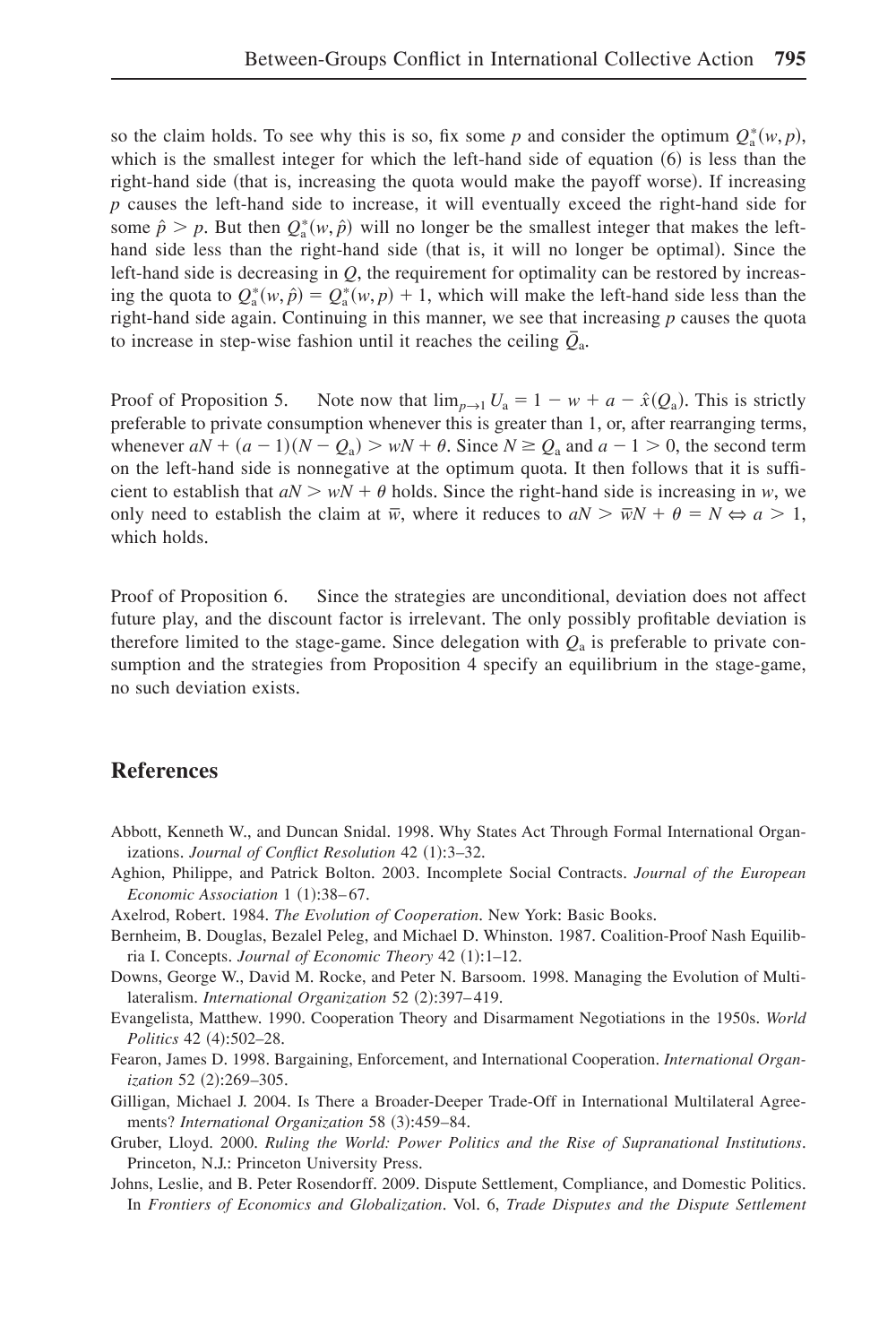so the claim holds. To see why this is so, fix some *p* and consider the optimum  $Q_a^*(w, p)$ , which is the smallest integer for which the left-hand side of equation  $(6)$  is less than the right-hand side (that is, increasing the quota would make the payoff worse). If increasing *p* causes the left-hand side to increase, it will eventually exceed the right-hand side for some  $\hat{p} > p$ . But then  $Q_a^*(w, \hat{p})$  will no longer be the smallest integer that makes the lefthand side less than the right-hand side (that is, it will no longer be optimal). Since the left-hand side is decreasing in *Q*, the requirement for optimality can be restored by increasing the quota to  $Q_a^*(w, \hat{p}) = Q_a^*(w, p) + 1$ , which will make the left-hand side less than the right-hand side again. Continuing in this manner, we see that increasing  $p$  causes the quota to increase in step-wise fashion until it reaches the ceiling  $Q_{a}$ .

Proof of Proposition 5. Note now that  $\lim_{p\to 1} U_a = 1 - w + a - \hat{x}(Q_a)$ . This is strictly preferable to private consumption whenever this is greater than 1, or, after rearranging terms, whenever  $aN + (a-1)(N - Q_a) > wN + \theta$ . Since  $N \ge Q_a$  and  $a-1 > 0$ , the second term on the left-hand side is nonnegative at the optimum quota. It then follows that it is sufficient to establish that  $aN > wN + \theta$  holds. Since the right-hand side is increasing in *w*, we only need to establish the claim at  $\overline{w}$ , where it reduces to  $aN > \overline{w}N + \theta = N \Leftrightarrow a > 1$ , which holds.

Proof of Proposition 6. Since the strategies are unconditional, deviation does not affect future play, and the discount factor is irrelevant. The only possibly profitable deviation is therefore limited to the stage-game. Since delegation with  $Q<sub>a</sub>$  is preferable to private consumption and the strategies from Proposition 4 specify an equilibrium in the stage-game, no such deviation exists.

# **References**

Abbott, Kenneth W., and Duncan Snidal. 1998. Why States Act Through Formal International Organizations. *Journal of Conflict Resolution* 42 (1):3–32.

Aghion, Philippe, and Patrick Bolton. 2003. Incomplete Social Contracts. *Journal of the European Economic Association* 1 (1):38-67.

- Axelrod, Robert. 1984. *The Evolution of Cooperation*. New York: Basic Books.
- Bernheim, B. Douglas, Bezalel Peleg, and Michael D. Whinston. 1987. Coalition-Proof Nash Equilibria I. Concepts. *Journal of Economic Theory* 42 (1):1–12.
- Downs, George W., David M. Rocke, and Peter N. Barsoom. 1998. Managing the Evolution of Multilateralism. *International Organization* 52 (2):397–419.
- Evangelista, Matthew. 1990. Cooperation Theory and Disarmament Negotiations in the 1950s. *World Politics* 42 (4):502-28.
- Fearon, James D. 1998. Bargaining, Enforcement, and International Cooperation. *International Organization* 52 (2):269-305.
- Gilligan, Michael J. 2004. Is There a Broader-Deeper Trade-Off in International Multilateral Agreements? International Organization 58 (3):459-84.
- Gruber, Lloyd. 2000. *Ruling the World: Power Politics and the Rise of Supranational Institutions*. Princeton, N.J.: Princeton University Press.
- Johns, Leslie, and B. Peter Rosendorff. 2009. Dispute Settlement, Compliance, and Domestic Politics. In *Frontiers of Economics and Globalization*. Vol. 6, *Trade Disputes and the Dispute Settlement*